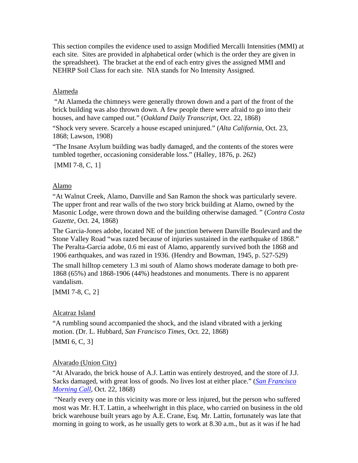This section compiles the evidence used to assign Modified Mercalli Intensities (MMI) at each site. Sites are provided in alphabetical order (which is the order they are given in the spreadsheet). The bracket at the end of each entry gives the assigned MMI and NEHRP Soil Class for each site. NIA stands for No Intensity Assigned.

### Alameda

 "At Alameda the chimneys were generally thrown down and a part of the front of the brick building was also thrown down. A few people there were afraid to go into their houses, and have camped out." (*Oakland Daily Transcript*, Oct. 22, 1868)

"Shock very severe. Scarcely a house escaped uninjured." (*Alta California*, Oct. 23, 1868; Lawson, 1908)

"The Insane Asylum building was badly damaged, and the contents of the stores were tumbled together, occasioning considerable loss." (Halley, 1876, p. 262)

[MMI 7-8, C, [1](#page-42-0)]

### Alamo

"At Walnut Creek, Alamo, Danville and San Ramon the shock was particularly severe. The upper front and rear walls of the two story brick building at Alamo, owned by the Masonic Lodge, were thrown down and the building otherwise damaged. " (*Contra Costa Gazette*, Oct. 24, 1868)

The Garcia-Jones adobe, located NE of the junction between Danville Boulevard and the Stone Valley Road "was razed because of injuries sustained in the earthquake of 1868." The Peralta-Garcia adobe, 0.6 mi east of Alamo, apparently survived both the 1868 and 1906 earthquakes, and was razed in 1936. (Hendry and Bowman, 1945, p. 527-529)

The small hilltop cemetery 1.3 mi south of Alamo shows moderate damage to both pre-1868 (65%) and 1868-1906 (44%) headstones and monuments. There is no apparent vandalism.

[MMI 7-8, C, [2](#page-43-0)]

## Alcatraz Island

"A rumbling sound accompanied the shock, and the island vibrated with a jerking motion. (Dr. L. Hubbard, *San Francisco Times*, Oct. 22, 1868)

[MMI 6, C, [3](#page-43-0)]

## Alvarado (Union City)

"At Alvarado, the brick house of A.J. Lattin was entirely destroyed, and the store of J.J. Sacks damaged, with great loss of goods. No lives lost at either place." (*[San Francisco](http://www.sfmuseum.net/hist4/68oakl.html)  [Morning Call](http://www.sfmuseum.net/hist4/68oakl.html)*, Oct. 22, 1868)

 "Nearly every one in this vicinity was more or less injured, but the person who suffered most was Mr. H.T. Lattin, a wheelwright in this place, who carried on business in the old brick warehouse built years ago by A.E. Crane, Esq. Mr. Lattin, fortunately was late that morning in going to work, as he usually gets to work at 8.30 a.m., but as it was if he had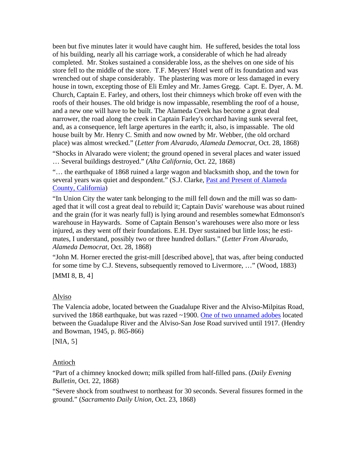been but five minutes later it would have caught him. He suffered, besides the total loss of his building, nearly all his carriage work, a considerable of which he had already completed. Mr. Stokes sustained a considerable loss, as the shelves on one side of his store fell to the middle of the store. T.F. Meyers' Hotel went off its foundation and was wrenched out of shape considerably. The plastering was more or less damaged in every house in town, excepting those of Eli Emley and Mr. James Gregg. Capt. E. Dyer, A. M. Church, Captain E. Farley, and others, lost their chimneys which broke off even with the roofs of their houses. The old bridge is now impassable, resembling the roof of a house, and a new one will have to be built. The Alameda Creek has become a great deal narrower, the road along the creek in Captain Farley's orchard having sunk several feet, and, as a consequence, left large apertures in the earth; it, also, is impassable. The old house built by Mr. Henry C. Smith and now owned by Mr. Webber, (the old orchard place) was almost wrecked." (*Letter from Alvarado*, *Alameda Democrat*, Oct. 28, 1868)

"Shocks in Alvarado were violent; the ground opened in several places and water issued … Several buildings destroyed." (*Alta California*, Oct. 22, 1868)

"… the earthquake of 1868 ruined a large wagon and blacksmith shop, and the town for several years was quiet and despondent." (S.J. Clarke, Past and Present of Alameda [County, California](http://www.calarchives4u.com/history/alameda/1914-ch20.htm))

"In Union City the water tank belonging to the mill fell down and the mill was so damaged that it will cost a great deal to rebuild it; Captain Davis' warehouse was about ruined and the grain (for it was nearly full) is lying around and resembles somewhat Edmonson's warehouse in Haywards. Some of Captain Benson's warehouses were also more or less injured, as they went off their foundations. E.H. Dyer sustained but little loss; he estimates, I understand, possibly two or three hundred dollars." (*Letter From Alvarado*, *Alameda Democrat*, Oct. 28, 1868)

"John M. Horner erected the grist-mill [described above], that was, after being conducted for some time by C.J. Stevens, subsequently removed to Livermore, …" (Wood, 1883)

[MMI 8, B, [4](#page-43-0)]

#### Alviso

The Valencia adobe, located between the Guadalupe River and the Alviso-Milpitas Road, survived the 1868 earthquake, but was razed ~1900. [One of two unnamed adobes](http://content.cdlib.org/ark:/13030/tf9d5nb6qz/?&query=adobe&brand=oac) located between the Guadalupe River and the Alviso-San Jose Road survived until 1917. (Hendry and Bowman, 1945, p. 865-866)

[NIA, [5](#page-43-0)]

#### Antioch

"Part of a chimney knocked down; milk spilled from half-filled pans. (*Daily Evening Bulletin*, Oct. 22, 1868)

"Severe shock from southwest to northeast for 30 seconds. Several fissures formed in the ground." (*Sacramento Daily Union*, Oct. 23, 1868)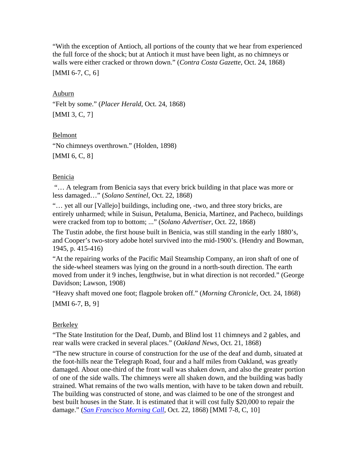"With the exception of Antioch, all portions of the county that we hear from experienced the full force of the shock; but at Antioch it must have been light, as no chimneys or walls were either cracked or thrown down." (*Contra Costa Gazette*, Oct. 24, 1868)

[MMI [6](#page-43-0)-7, C, 6]

#### Auburn

"Felt by some." (*Placer Herald*, Oct. 24, 1868) [MMI 3, C, [7](#page-43-0)]

### Belmont

"No chimneys overthrown." (Holden, 1898) [MMI 6, C, [8](#page-43-0)]

### Benicia

 "… A telegram from Benicia says that every brick building in that place was more or less damaged…" (*Solano Sentinel*, Oct. 22, 1868)

"… yet all our [Vallejo] buildings, including one, -two, and three story bricks, are entirely unharmed; while in Suisun, Petaluma, Benicia, Martinez, and Pacheco, buildings were cracked from top to bottom; ..." (*Solano Advertiser*, Oct. 22, 1868)

The Tustin adobe, the first house built in Benicia, was still standing in the early 1880's, and Cooper's two-story adobe hotel survived into the mid-1900's. (Hendry and Bowman, 1945, p. 415-416)

"At the repairing works of the Pacific Mail Steamship Company, an iron shaft of one of the side-wheel steamers was lying on the ground in a north-south direction. The earth moved from under it 9 inches, lengthwise, but in what direction is not recorded." (George Davidson; Lawson, 1908)

"Heavy shaft moved one foot; flagpole broken off." (*Morning Chronicle*, Oct. 24, 1868) [MMI 6-7, B, [9](#page-43-0)]

## **Berkeley**

"The State Institution for the Deaf, Dumb, and Blind lost 11 chimneys and 2 gables, and rear walls were cracked in several places." (*Oakland News*, Oct. 21, 1868)

"The new structure in course of construction for the use of the deaf and dumb, situated at the foot-hills near the Telegraph Road, four and a half miles from Oakland, was greatly damaged. About one-third of the front wall was shaken down, and also the greater portion of one of the side walls. The chimneys were all shaken down, and the building was badly strained. What remains of the two walls mention, with have to be taken down and rebuilt. The building was constructed of stone, and was claimed to be one of the strongest and best built houses in the State. It is estimated that it will cost fully \$20,000 to repair the damage." (*[San Francisco Morning Call](http://www.sfmuseum.net/hist4/68oakl.html)*, Oct. 22, 1868) [MMI 7-8, C, [10](#page-43-0)]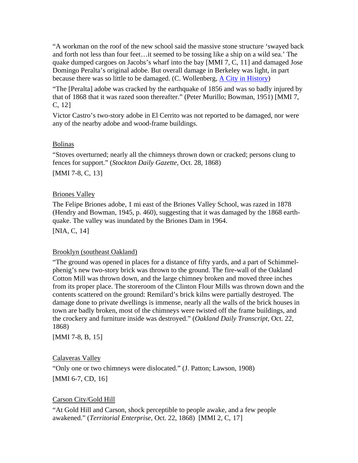"A workman on the roof of the new school said the massive stone structure 'swayed back and forth not less than four feet…it seemed to be tossing like a ship on a wild sea.' The quake dumped cargoes on Jacobs's wharf into the bay [MMI 7, C, [11](#page-43-0)] and damaged Jose Domingo Peralta's original adobe. But overall damage in Berkeley was light, in part because there was so little to be damaged. (C. Wollenberg, [A City in History\)](http://berkeleypubliclibrary.org/system/Chapter2.html)

"The [Peralta] adobe was cracked by the earthquake of 1856 and was so badly injured by that of 1868 that it was razed soon thereafter." (Peter Murillo; Bowman, 1951) [MMI 7, C, [12](#page-43-0)]

Victor Castro's two-story adobe in El Cerrito was not reported to be damaged, nor were any of the nearby adobe and wood-frame buildings.

### Bolinas

"Stoves overturned; nearly all the chimneys thrown down or cracked; persons clung to fences for support." (*Stockton Daily Gazette*, Oct. 28, 1868) [MMI 7-8, C, [13](#page-43-0)]

### Briones Valley

The Felipe Briones adobe, 1 mi east of the Briones Valley School, was razed in 1878 (Hendry and Bowman, 1945, p. 460), suggesting that it was damaged by the 1868 earthquake. The valley was inundated by the Briones Dam in 1964.

[NIA, C, [14](#page-43-0)]

## Brooklyn (southeast Oakland)

"The ground was opened in places for a distance of fifty yards, and a part of Schimmelphenig's new two-story brick was thrown to the ground. The fire-wall of the Oakland Cotton Mill was thrown down, and the large chimney broken and moved three inches from its proper place. The storeroom of the Clinton Flour Mills was thrown down and the contents scattered on the ground: Remilard's brick kilns were partially destroyed. The damage done to private dwellings is immense, nearly all the walls of the brick houses in town are badly broken, most of the chimneys were twisted off the frame buildings, and the crockery and furniture inside was destroyed." (*Oakland Daily Transcript*, Oct. 22, 1868)

[MMI 7-8, B, [15](#page-43-0)]

## Calaveras Valley

"Only one or two chimneys were dislocated." (J. Patton; Lawson, 1908) [MMI 6-7, CD, [16](#page-43-0)]

## Carson City/Gold Hill

"At Gold Hill and Carson, shock perceptible to people awake, and a few people awakened." (*Territorial Enterprise*, Oct. 22, 1868) [MMI 2, C, [17](#page-43-0)]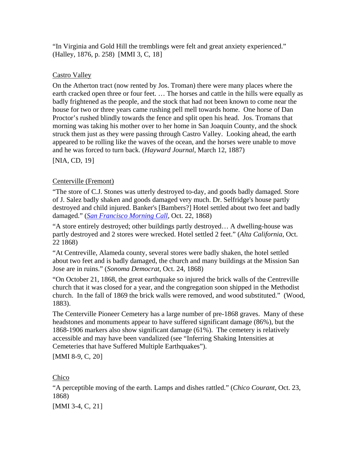"In Virginia and Gold Hill the tremblings were felt and great anxiety experienced." (Halley, 1876, p. 258) [MMI 3, C, [18](#page-43-0)]

# Castro Valley

On the Atherton tract (now rented by Jos. Troman) there were many places where the earth cracked open three or four feet. … The horses and cattle in the hills were equally as badly frightened as the people, and the stock that had not been known to come near the house for two or three years came rushing pell mell towards home. One horse of Dan Proctor's rushed blindly towards the fence and split open his head. Jos. Tromans that morning was taking his mother over to her home in San Joaquin County, and the shock struck them just as they were passing through Castro Valley. Looking ahead, the earth appeared to be rolling like the waves of the ocean, and the horses were unable to move and he was forced to turn back. (*Hayward Journal*, March 12, 1887)

[NIA, CD, [19](#page-43-0)]

# Centerville (Fremont)

"The store of C.J. Stones was utterly destroyed to-day, and goods badly damaged. Store of J. Salez badly shaken and goods damaged very much. Dr. Selfridge's house partly destroyed and child injured. Banker's [Bambers?] Hotel settled about two feet and badly damaged." (*[San Francisco Morning Call](http://www.sfmuseum.net/hist4/68oakl.html)*, Oct. 22, 1868)

"A store entirely destroyed; other buildings partly destroyed… A dwelling-house was partly destroyed and 2 stores were wrecked. Hotel settled 2 feet." (*Alta California*, Oct. 22 1868)

"At Centreville, Alameda county, several stores were badly shaken, the hotel settled about two feet and is badly damaged, the church and many buildings at the Mission San Jose are in ruins." (*Sonoma Democrat*, Oct. 24, 1868)

"On October 21, 1868, the great earthquake so injured the brick walls of the Centreville church that it was closed for a year, and the congregation soon shipped in the Methodist church. In the fall of 1869 the brick walls were removed, and wood substituted." (Wood, 1883).

The Centerville Pioneer Cemetery has a large number of pre-1868 graves. Many of these headstones and monuments appear to have suffered significant damage (86%), but the 1868-1906 markers also show significant damage (61%). The cemetery is relatively accessible and may have been vandalized (see "Inferring Shaking Intensities at Cemeteries that have Suffered Multiple Earthquakes").

[MMI 8-9, C, [20](#page-43-0)]

Chico

"A perceptible moving of the earth. Lamps and dishes rattled." (*Chico Courant*, Oct. 23, 1868)

[MMI 3-4, C, [21](#page-43-0)]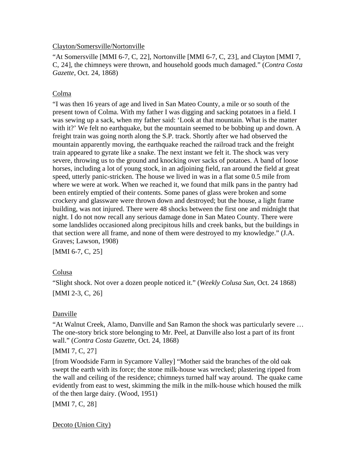#### Clayton/Somersville/Nortonville

"At Somersville [MMI 6-7, C, [22](#page-43-0)], Nortonville [MMI 6-7, C, [23](#page-43-0)], and Clayton [MMI 7, C, [24](#page-43-0)], the chimneys were thrown, and household goods much damaged." (*Contra Costa Gazette*, Oct. 24, 1868)

## Colma

"I was then 16 years of age and lived in San Mateo County, a mile or so south of the present town of Colma. With my father I was digging and sacking potatoes in a field. I was sewing up a sack, when my father said: 'Look at that mountain. What is the matter with it?' We felt no earthquake, but the mountain seemed to be bobbing up and down. A freight train was going north along the S.P. track. Shortly after we had observed the mountain apparently moving, the earthquake reached the railroad track and the freight train appeared to gyrate like a snake. The next instant we felt it. The shock was very severe, throwing us to the ground and knocking over sacks of potatoes. A band of loose horses, including a lot of young stock, in an adjoining field, ran around the field at great speed, utterly panic-stricken. The house we lived in was in a flat some 0.5 mile from where we were at work. When we reached it, we found that milk pans in the pantry had been entirely emptied of their contents. Some panes of glass were broken and some crockery and glassware were thrown down and destroyed; but the house, a light frame building, was not injured. There were 48 shocks between the first one and midnight that night. I do not now recall any serious damage done in San Mateo County. There were some landslides occasioned along precipitous hills and creek banks, but the buildings in that section were all frame, and none of them were destroyed to my knowledge." (J.A. Graves; Lawson, 1908)

[MMI 6-7, C, [25](#page-43-0)]

## Colusa

"Slight shock. Not over a dozen people noticed it." (*Weekly Colusa Sun*, Oct. 24 1868) [MMI 2-3, C, [26](#page-43-0)]

## Danville

"At Walnut Creek, Alamo, Danville and San Ramon the shock was particularly severe … The one-story brick store belonging to Mr. Peel, at Danville also lost a part of its front wall." (*Contra Costa Gazette*, Oct. 24, 1868)

## [MMI 7, C, [27](#page-43-0)]

[from Woodside Farm in Sycamore Valley] "Mother said the branches of the old oak swept the earth with its force; the stone milk-house was wrecked; plastering ripped from the wall and ceiling of the residence; chimneys turned half way around. The quake came evidently from east to west, skimming the milk in the milk-house which housed the milk of the then large dairy. (Wood, 1951)

[MMI 7, C, [28](#page-43-0)]

Decoto (Union City)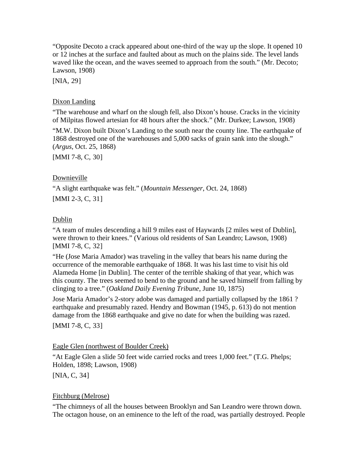"Opposite Decoto a crack appeared about one-third of the way up the slope. It opened 10 or 12 inches at the surface and faulted about as much on the plains side. The level lands waved like the ocean, and the waves seemed to approach from the south." (Mr. Decoto; Lawson, 1908)

[NIA, [29](#page-43-0)]

#### Dixon Landing

"The warehouse and wharf on the slough fell, also Dixon's house. Cracks in the vicinity of Milpitas flowed artesian for 48 hours after the shock." (Mr. Durkee; Lawson, 1908)

"M.W. Dixon built Dixon's Landing to the south near the county line. The earthquake of 1868 destroyed one of the warehouses and 5,000 sacks of grain sank into the slough." (*Argus*, Oct. 25, 1868)

[MMI 7-8, C, [30](#page-43-0)]

### Downieville

"A slight earthquake was felt." (*Mountain Messenger*, Oct. 24, 1868) [MMI 2-3, C, [31](#page-43-0)]

#### Dublin

"A team of mules descending a hill 9 miles east of Haywards [2 miles west of Dublin], were thrown to their knees." (Various old residents of San Leandro; Lawson, 1908) [MMI 7-8, C, [32](#page-43-0)]

"He (Jose Maria Amador) was traveling in the valley that bears his name during the occurrence of the memorable earthquake of 1868. It was his last time to visit his old Alameda Home [in Dublin]. The center of the terrible shaking of that year, which was this county. The trees seemed to bend to the ground and he saved himself from falling by clinging to a tree." (*Oakland Daily Evening Tribune*, June 10, 1875)

Jose Maria Amador's 2-story adobe was damaged and partially collapsed by the 1861 ? earthquake and presumably razed. Hendry and Bowman (1945, p. 613) do not mention damage from the 1868 earthquake and give no date for when the building was razed.

[MMI 7-8, C, [33](#page-43-0)]

#### Eagle Glen (northwest of Boulder Creek)

"At Eagle Glen a slide 50 feet wide carried rocks and trees 1,000 feet." (T.G. Phelps; Holden, 1898; Lawson, 1908)

[NIA, C, [34](#page-43-0)]

## Fitchburg (Melrose)

"The chimneys of all the houses between Brooklyn and San Leandro were thrown down. The octagon house, on an eminence to the left of the road, was partially destroyed. People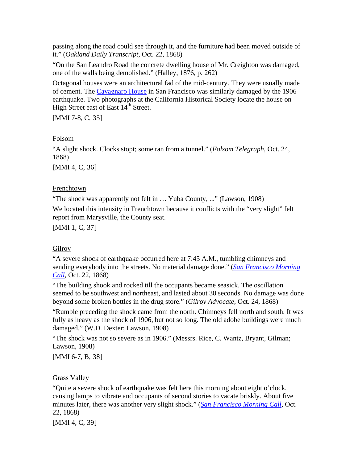passing along the road could see through it, and the furniture had been moved outside of it." (*Oakland Daily Transcript*, Oct. 22, 1868)

"On the San Leandro Road the concrete dwelling house of Mr. Creighton was damaged, one of the walls being demolished." (Halley, 1876, p. 262)

Octagonal houses were an architectural fad of the mid-century. They were usually made of cement. The [Cavagnaro House](http://content.cdlib.org/ark:/13030/hb629008p6/?&query=Gough&brand=oac) in San Francisco was similarly damaged by the 1906 earthquake. Two photographs at the California Historical Society locate the house on High Street east of East 14<sup>th</sup> Street.

[MMI 7-8, C, [35](#page-43-0)]

### Folsom

"A slight shock. Clocks stopt; some ran from a tunnel." (*Folsom Telegraph*, Oct. 24, 1868)

[MMI 4, C, [36](#page-43-0)]

### Frenchtown

"The shock was apparently not felt in … Yuba County, ..." (Lawson, 1908)

We located this intensity in Frenchtown because it conflicts with the "very slight" felt report from Marysville, the County seat.

[MMI 1, C, [37](#page-43-0)]

## Gilroy

"A severe shock of earthquake occurred here at 7:45 A.M., tumbling chimneys and sending everybody into the streets. No material damage done." (*[San Francisco Morning](http://www.sfmuseum.net/hist4/68oakl.html)  [Call](http://www.sfmuseum.net/hist4/68oakl.html)*, Oct. 22, 1868)

"The building shook and rocked till the occupants became seasick. The oscillation seemed to be southwest and northeast, and lasted about 30 seconds. No damage was done beyond some broken bottles in the drug store." (*Gilroy Advocate*, Oct. 24, 1868)

"Rumble preceding the shock came from the north. Chimneys fell north and south. It was fully as heavy as the shock of 1906, but not so long. The old adobe buildings were much damaged." (W.D. Dexter; Lawson, 1908)

"The shock was not so severe as in 1906." (Messrs. Rice, C. Wantz, Bryant, Gilman; Lawson, 1908)

[MMI 6-7, B, [38](#page-43-0)]

Grass Valley

"Quite a severe shock of earthquake was felt here this morning about eight o'clock, causing lamps to vibrate and occupants of second stories to vacate briskly. About five minutes later, there was another very slight shock." (*[San Francisco Morning Call](http://www.sfmuseum.net/hist4/68oakl.html)*, Oct. 22, 1868)

[MMI 4, C, [39](#page-43-0)]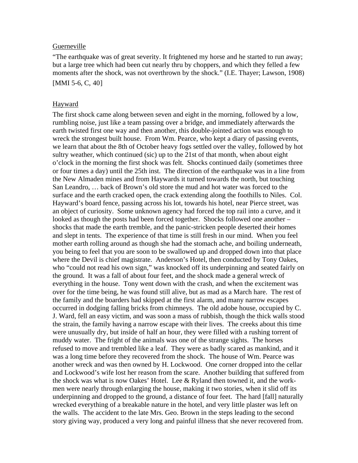#### Guerneville

"The earthquake was of great severity. It frightened my horse and he started to run away; but a large tree which had been cut nearly thru by choppers, and which they felled a few moments after the shock, was not overthrown by the shock." (I.E. Thayer; Lawson, 1908) [MMI 5-6, C, [40](#page-43-0)]

#### Hayward

The first shock came along between seven and eight in the morning, followed by a low, rumbling noise, just like a team passing over a bridge, and immediately afterwards the earth twisted first one way and then another, this double-jointed action was enough to wreck the strongest built house. From Wm. Pearce, who kept a diary of passing events, we learn that about the 8th of October heavy fogs settled over the valley, followed by hot sultry weather, which continued (sic) up to the 21st of that month, when about eight o'clock in the morning the first shock was felt. Shocks continued daily (sometimes three or four times a day) until the 25th inst. The direction of the earthquake was in a line from the New Almaden mines and from Haywards it turned towards the north, but touching San Leandro, … back of Brown's old store the mud and hot water was forced to the surface and the earth cracked open, the crack extending along the foothills to Niles. Col. Hayward's board fence, passing across his lot, towards his hotel, near Pierce street, was an object of curiosity. Some unknown agency had forced the top rail into a curve, and it looked as though the posts had been forced together. Shocks followed one another – shocks that made the earth tremble, and the panic-stricken people deserted their homes and slept in tents. The experience of that time is still fresh in our mind. When you feel mother earth rolling around as though she had the stomach ache, and boiling underneath, you being to feel that you are soon to be swallowed up and dropped down into that place where the Devil is chief magistrate. Anderson's Hotel, then conducted by Tony Oakes, who "could not read his own sign," was knocked off its underpinning and seated fairly on the ground. It was a fall of about four feet, and the shock made a general wreck of everything in the house. Tony went down with the crash, and when the excitement was over for the time being, he was found still alive, but as mad as a March hare. The rest of the family and the boarders had skipped at the first alarm, and many narrow escapes occurred in dodging falling bricks from chimneys. The old adobe house, occupied by C. J. Ward, fell an easy victim, and was soon a mass of rubbish, though the thick walls stood the strain, the family having a narrow escape with their lives. The creeks about this time were unusually dry, but inside of half an hour, they were filled with a rushing torrent of muddy water. The fright of the animals was one of the strange sights. The horses refused to move and trembled like a leaf. They were as badly scared as mankind, and it was a long time before they recovered from the shock. The house of Wm. Pearce was another wreck and was then owned by H. Lockwood. One corner dropped into the cellar and Lockwood's wife lost her reason from the scare. Another building that suffered from the shock was what is now Oakes' Hotel. Lee  $& Ryl$  Ryland then towned it, and the workmen were nearly through enlarging the house, making it two stories, when it slid off its underpinning and dropped to the ground, a distance of four feet. The hard [fall] naturally wrecked everything of a breakable nature in the hotel, and very little plaster was left on the walls. The accident to the late Mrs. Geo. Brown in the steps leading to the second story giving way, produced a very long and painful illness that she never recovered from.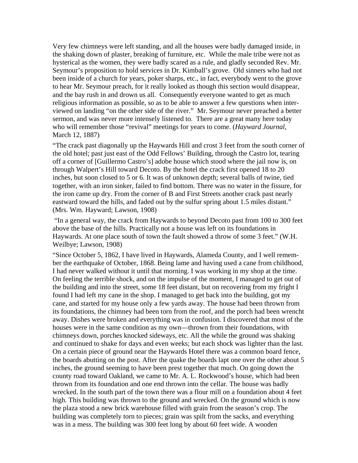Very few chimneys were left standing, and all the houses were badly damaged inside, in the shaking down of plaster, breaking of furniture, etc. While the male tribe were not as hysterical as the women, they were badly scared as a rule, and gladly seconded Rev. Mr. Seymour's proposition to hold services in Dr. Kimball's grove. Old sinners who had not been inside of a church for years, poker sharps, etc., in fact, everybody went to the grove to hear Mr. Seymour preach, for it really looked as though this section would disappear, and the bay rush in and drown us all. Consequently everyone wanted to get as much religious information as possible, so as to be able to answer a few questions when interviewed on landing "on the other side of the river." Mr. Seymour never preached a better sermon, and was never more intensely listened to. There are a great many here today who will remember those "revival" meetings for years to come. (*Hayward Journal*, March 12, 1887)

"The crack past diagonally up the Haywards Hill and crost 3 feet from the south corner of the old hotel; past just east of the Odd Fellows' Building, through the Castro lot, tearing off a corner of [Guillermo Castro's] adobe house which stood where the jail now is, on through Walpert's Hill toward Decoto. By the hotel the crack first opened 18 to 20 inches, but soon closed to 5 or 6. It was of unknown depth; several balls of twine, tied together, with an iron sinker, failed to find bottom. There was no water in the fissure, for the iron came up dry. From the corner of B and First Streets another crack past nearly eastward toward the hills, and faded out by the sulfur spring about 1.5 miles distant." (Mrs. Wm. Hayward; Lawson, 1908)

 "In a general way, the crack from Haywards to beyond Decoto past from 100 to 300 feet above the base of the hills. Practically not a house was left on its foundations in Haywards. At one place south of town the fault showed a throw of some 3 feet." (W.H. Weilbye; Lawson, 1908)

"Since October 5, 1862, I have lived in Haywards, Alameda County, and I well remember the earthquake of October, 1868. Being lame and having used a cane from childhood, I had never walked without it until that morning. I was working in my shop at the time. On feeling the terrible shock, and on the impulse of the moment, I managed to get out of the building and into the street, some 18 feet distant, but on recovering from my fright I found I had left my cane in the shop. I managed to get back into the building, got my cane, and started for my house only a few yards away. The house had been thrown from its foundations, the chimney had been torn from the roof, and the porch had been wrencht away. Dishes were broken and everything was in confusion. I discovered that most of the houses were in the same condition as my own—thrown from their foundations, with chimneys down, porches knocked sideways, etc. All the while the ground was shaking and continued to shake for days and even weeks; but each shock was lighter than the last. On a certain piece of ground near the Haywards Hotel there was a common board fence, the boards abutting on the post. After the quake the boards lapt one over the other about 5 inches, the ground seeming to have been prest together that much. On going down the county road toward Oakland, we came to Mr. A. L. Rockwood's house, which had been thrown from its foundation and one end thrown into the cellar. The house was badly wrecked. In the south part of the town there was a flour mill on a foundation about 4 feet high. This building was thrown to the ground and wrecked. On the ground which is now the plaza stood a new brick warehouse filled with grain from the season's crop. The building was completely torn to pieces; grain was spilt from the sacks, and everything was in a mess. The building was 300 feet long by about 60 feet wide. A wooden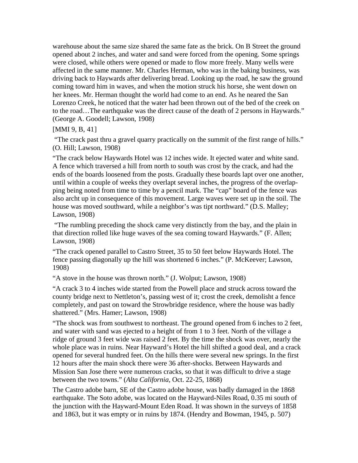warehouse about the same size shared the same fate as the brick. On B Street the ground opened about 2 inches, and water and sand were forced from the opening. Some springs were closed, while others were opened or made to flow more freely. Many wells were affected in the same manner. Mr. Charles Herman, who was in the baking business, was driving back to Haywards after delivering bread. Looking up the road, he saw the ground coming toward him in waves, and when the motion struck his horse, she went down on her knees. Mr. Herman thought the world had come to an end. As he neared the San Lorenzo Creek, he noticed that the water had been thrown out of the bed of the creek on to the road…The earthquake was the direct cause of the death of 2 persons in Haywards." (George A. Goodell; Lawson, 1908)

[MMI 9, B, [41](#page-43-0)]

 "The crack past thru a gravel quarry practically on the summit of the first range of hills." (O. Hill; Lawson, 1908)

"The crack below Haywards Hotel was 12 inches wide. It ejected water and white sand. A fence which traversed a hill from north to south was crost by the crack, and had the ends of the boards loosened from the posts. Gradually these boards lapt over one another, until within a couple of weeks they overlapt several inches, the progress of the overlapping being noted from time to time by a pencil mark. The "cap" board of the fence was also archt up in consequence of this movement. Large waves were set up in the soil. The house was moved southward, while a neighbor's was tipt northward." (D.S. Malley; Lawson, 1908)

 "The rumbling preceding the shock came very distinctly from the bay, and the plain in that direction rolled like huge waves of the sea coming toward Haywards." (F. Allen; Lawson, 1908)

"The crack opened parallel to Castro Street, 35 to 50 feet below Haywards Hotel. The fence passing diagonally up the hill was shortened 6 inches." (P. McKeever; Lawson, 1908)

"A stove in the house was thrown north." (J. Wolput; Lawson, 1908)

"A crack 3 to 4 inches wide started from the Powell place and struck across toward the county bridge next to Nettleton's, passing west of it; crost the creek, demolisht a fence completely, and past on toward the Strowbridge residence, where the house was badly shattered." (Mrs. Hamer; Lawson, 1908)

"The shock was from southwest to northeast. The ground opened from 6 inches to 2 feet, and water with sand was ejected to a height of from 1 to 3 feet. North of the village a ridge of ground 3 feet wide was raised 2 feet. By the time the shock was over, nearly the whole place was in ruins. Near Hayward's Hotel the hill shifted a good deal, and a crack opened for several hundred feet. On the hills there were several new springs. In the first 12 hours after the main shock there were 36 after-shocks. Between Haywards and Mission San Jose there were numerous cracks, so that it was difficult to drive a stage between the two towns." (*Alta California*, Oct. 22-25, 1868)

The Castro adobe barn, SE of the Castro adobe house, was badly damaged in the 1868 earthquake. The Soto adobe, was located on the Hayward-Niles Road, 0.35 mi south of the junction with the Hayward-Mount Eden Road. It was shown in the surveys of 1858 and 1863, but it was empty or in ruins by 1874. (Hendry and Bowman, 1945, p. 507)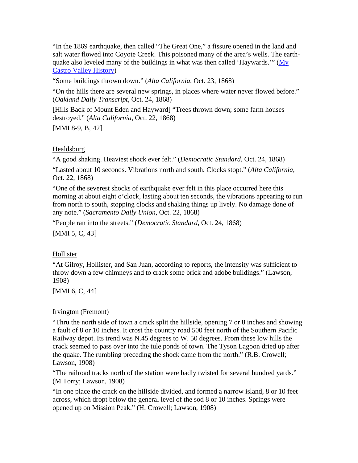"In the 1869 earthquake, then called "The Great One," a fissure opened in the land and salt water flowed into Coyote Creek. This poisoned many of the area's wells. The earthquake also leveled many of the buildings in what was then called 'Haywards.'" (My [Castro Valley History](http://www.mycastrovalley.com/history/page07.html))

"Some buildings thrown down." (*Alta California*, Oct. 23, 1868)

"On the hills there are several new springs, in places where water never flowed before." (*Oakland Daily Transcript*, Oct. 24, 1868)

[Hills Back of Mount Eden and Hayward] "Trees thrown down; some farm houses destroyed." (*Alta California*, Oct. 22, 1868)

[MMI 8-9, B, [42](#page-43-0)]

#### Healdsburg

"A good shaking. Heaviest shock ever felt." (*Democratic Standard*, Oct. 24, 1868)

"Lasted about 10 seconds. Vibrations north and south. Clocks stopt." (*Alta California*, Oct. 22, 1868)

"One of the severest shocks of earthquake ever felt in this place occurred here this morning at about eight o'clock, lasting about ten seconds, the vibrations appearing to run from north to south, stopping clocks and shaking things up lively. No damage done of any note." (*Sacramento Daily Union*, Oct. 22, 1868)

"People ran into the streets." (*Democratic Standard*, Oct. 24, 1868) [MMI 5, C, [43](#page-43-0)]

#### Hollister

"At Gilroy, Hollister, and San Juan, according to reports, the intensity was sufficient to throw down a few chimneys and to crack some brick and adobe buildings." (Lawson, 1908)

[MMI 6, C, [44](#page-43-0)]

#### Irvington (Fremont)

"Thru the north side of town a crack split the hillside, opening 7 or 8 inches and showing a fault of 8 or 10 inches. It crost the country road 500 feet north of the Southern Pacific Railway depot. Its trend was N.45 degrees to W. 50 degrees. From these low hills the crack seemed to pass over into the tule ponds of town. The Tyson Lagoon dried up after the quake. The rumbling preceding the shock came from the north." (R.B. Crowell; Lawson, 1908)

"The railroad tracks north of the station were badly twisted for several hundred yards." (M.Torry; Lawson, 1908)

"In one place the crack on the hillside divided, and formed a narrow island, 8 or 10 feet across, which dropt below the general level of the sod 8 or 10 inches. Springs were opened up on Mission Peak." (H. Crowell; Lawson, 1908)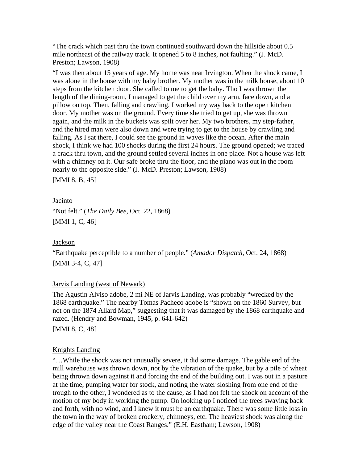"The crack which past thru the town continued southward down the hillside about 0.5 mile northeast of the railway track. It opened 5 to 8 inches, not faulting." (J. McD. Preston; Lawson, 1908)

"I was then about 15 years of age. My home was near Irvington. When the shock came, I was alone in the house with my baby brother. My mother was in the milk house, about 10 steps from the kitchen door. She called to me to get the baby. Tho I was thrown the length of the dining-room, I managed to get the child over my arm, face down, and a pillow on top. Then, falling and crawling, I worked my way back to the open kitchen door. My mother was on the ground. Every time she tried to get up, she was thrown again, and the milk in the buckets was spilt over her. My two brothers, my step-father, and the hired man were also down and were trying to get to the house by crawling and falling. As I sat there, I could see the ground in waves like the ocean. After the main shock, I think we had 100 shocks during the first 24 hours. The ground opened; we traced a crack thru town, and the ground settled several inches in one place. Not a house was left with a chimney on it. Our safe broke thru the floor, and the piano was out in the room nearly to the opposite side." (J. McD. Preston; Lawson, 1908)

[MMI 8, B, [45](#page-43-0)]

Jacinto "Not felt." (*The Daily Bee*, Oct. 22, 1868) [MMI 1, C, [46](#page-43-0)]

#### Jackson

"Earthquake perceptible to a number of people." (*Amador Dispatch*, Oct. 24, 1868) [MMI 3-4, C, [47](#page-43-0)]

#### Jarvis Landing (west of Newark)

The Agustin Alviso adobe, 2 mi NE of Jarvis Landing, was probably "wrecked by the 1868 earthquake." The nearby Tomas Pacheco adobe is "shown on the 1860 Survey, but not on the 1874 Allard Map," suggesting that it was damaged by the 1868 earthquake and razed. (Hendry and Bowman, 1945, p. 641-642)

[MMI 8, C, [48](#page-44-0)]

## Knights Landing

"…While the shock was not unusually severe, it did some damage. The gable end of the mill warehouse was thrown down, not by the vibration of the quake, but by a pile of wheat being thrown down against it and forcing the end of the building out. I was out in a pasture at the time, pumping water for stock, and noting the water sloshing from one end of the trough to the other, I wondered as to the cause, as I had not felt the shock on account of the motion of my body in working the pump. On looking up I noticed the trees swaying back and forth, with no wind, and I knew it must be an earthquake. There was some little loss in the town in the way of broken crockery, chimneys, etc. The heaviest shock was along the edge of the valley near the Coast Ranges." (E.H. Eastham; Lawson, 1908)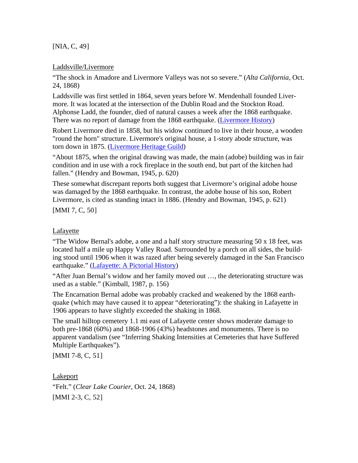[NIA, C, [49](#page-44-0)]

#### Laddsville/Livermore

"The shock in Amadore and Livermore Valleys was not so severe." (*Alta California*, Oct. 24, 1868)

Laddsville was first settled in 1864, seven years before W. Mendenhall founded Livermore. It was located at the intersection of the Dublin Road and the Stockton Road. Alphonse Ladd, the founder, died of natural causes a week after the 1868 earthquake. There was no report of damage from the 1868 earthquake. [\(Livermore History\)](http://www.elivermore.com/photos/Hist_lvr_laddsville.htm)

Robert Livermore died in 1858, but his widow continued to live in their house, a wooden "round the horn" structure. Livermore's original house, a 1-story abode structure, was torn down in 1875. [\(Livermore Heritage Guild\)](http://www.lhg.org/history%20folder/history.htm)

"About 1875, when the original drawing was made, the main (adobe) building was in fair condition and in use with a rock fireplace in the south end, but part of the kitchen had fallen." (Hendry and Bowman, 1945, p. 620)

These somewhat discrepant reports both suggest that Livermore's original adobe house was damaged by the 1868 earthquake. In contrast, the adobe house of his son, Robert Livermore, is cited as standing intact in 1886. (Hendry and Bowman, 1945, p. 621)

[MMI 7, C, [50](#page-44-0)]

### Lafayette

"The Widow Bernal's adobe, a one and a half story structure measuring 50 x 18 feet, was located half a mile up Happy Valley Road. Surrounded by a porch on all sides, the building stood until 1906 when it was razed after being severely damaged in the San Francisco earthquake." ([Lafayette: A Pictorial History\)](http://www.lafayettehistory.org/pict02IndN.html)

"After Juan Bernal's widow and her family moved out …, the deteriorating structure was used as a stable." (Kimball, 1987, p. 156)

The Encarnation Bernal adobe was probably cracked and weakened by the 1868 earthquake (which may have caused it to appear "deteriorating"): the shaking in Lafayette in 1906 appears to have slightly exceeded the shaking in 1868.

The small hilltop cemetery 1.1 mi east of Lafayette center shows moderate damage to both pre-1868 (60%) and 1868-1906 (43%) headstones and monuments. There is no apparent vandalism (see "Inferring Shaking Intensities at Cemeteries that have Suffered Multiple Earthquakes").

[MMI 7-8, C, [51](#page-44-0)]

Lakeport "Felt." (*Clear Lake Courier*, Oct. 24, 1868) [MMI 2-3, C, [52](#page-44-0)]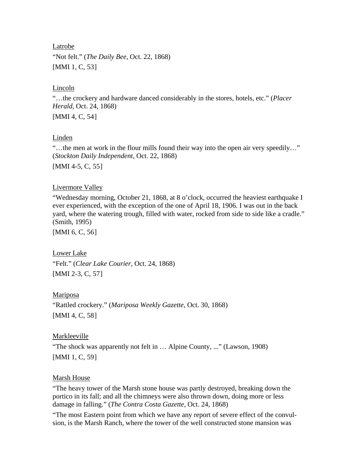#### Latrobe

"Not felt." (*The Daily Bee*, Oct. 22, 1868) [MMI 1, C, [53](#page-44-0)]

#### Lincoln

"…the crockery and hardware danced considerably in the stores, hotels, etc." (*Placer Herald*, Oct. 24, 1868)

[MMI 4, C, [54](#page-44-0)]

### **Linden**

"…the men at work in the flour mills found their way into the open air very speedily…" (*Stockton Daily Independent*, Oct. 22, 1868)

[MMI 4-5, C, [55](#page-44-0)]

### Livermore Valley

"Wednesday morning, October 21, 1868, at 8 o'clock, occurred the heaviest earthquake I ever experienced, with the exception of the one of April 18, 1906. I was out in the back yard, where the watering trough, filled with water, rocked from side to side like a cradle." (Smith, 1995)

[MMI 6, C, [56](#page-44-0)]

Lower Lake "Felt." (*Clear Lake Courier*, Oct. 24, 1868)

[MMI 2-3, C, [57](#page-44-0)]

Mariposa

"Rattled crockery." (*Mariposa Weekly Gazette*, Oct. 30, 1868) [MMI 4, C, [58](#page-44-0)]

## Markleeville

"The shock was apparently not felt in … Alpine County, ..." (Lawson, 1908) [MMI 1, C, [59](#page-44-0)]

## Marsh House

"The heavy tower of the Marsh stone house was partly destroyed, breaking down the portico in its fall; and all the chimneys were also thrown down, doing more or less damage in falling." (*The Contra Costa Gazette*, Oct. 24, 1868)

"The most Eastern point from which we have any report of severe effect of the convulsion, is the Marsh Ranch, where the tower of the well constructed stone mansion was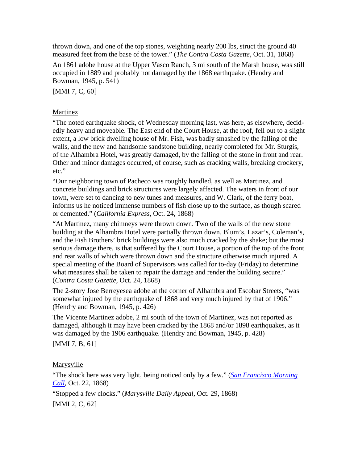thrown down, and one of the top stones, weighting nearly 200 lbs, struct the ground 40 measured feet from the base of the tower." (*The Contra Costa Gazette*, Oct. 31, 1868)

An 1861 adobe house at the Upper Vasco Ranch, 3 mi south of the Marsh house, was still occupied in 1889 and probably not damaged by the 1868 earthquake. (Hendry and Bowman, 1945, p. 541)

[MMI 7, C, [60](#page-44-0)]

## **Martinez**

"The noted earthquake shock, of Wednesday morning last, was here, as elsewhere, decidedly heavy and moveable. The East end of the Court House, at the roof, fell out to a slight extent, a low brick dwelling house of Mr. Fish, was badly smashed by the falling of the walls, and the new and handsome sandstone building, nearly completed for Mr. Sturgis, of the Alhambra Hotel, was greatly damaged, by the falling of the stone in front and rear. Other and minor damages occurred, of course, such as cracking walls, breaking crockery, etc."

"Our neighboring town of Pacheco was roughly handled, as well as Martinez, and concrete buildings and brick structures were largely affected. The waters in front of our town, were set to dancing to new tunes and measures, and W. Clark, of the ferry boat, informs us he noticed immense numbers of fish close up to the surface, as though scared or demented." (*California Express*, Oct. 24, 1868)

"At Martinez, many chimneys were thrown down. Two of the walls of the new stone building at the Alhambra Hotel were partially thrown down. Blum's, Lazar's, Coleman's, and the Fish Brothers' brick buildings were also much cracked by the shake; but the most serious damage there, is that suffered by the Court House, a portion of the top of the front and rear walls of which were thrown down and the structure otherwise much injured. A special meeting of the Board of Supervisors was called for to-day (Friday) to determine what measures shall be taken to repair the damage and render the building secure." (*Contra Costa Gazette*, Oct. 24, 1868)

The 2-story Jose Berreyesea adobe at the corner of Alhambra and Escobar Streets, "was somewhat injured by the earthquake of 1868 and very much injured by that of 1906." (Hendry and Bowman, 1945, p. 426)

The Vicente Martinez adobe, 2 mi south of the town of Martinez, was not reported as damaged, although it may have been cracked by the 1868 and/or 1898 earthquakes, as it was damaged by the 1906 earthquake. (Hendry and Bowman, 1945, p. 428)

[MMI 7, B, [61](#page-44-0)]

Marysville

"The shock here was very light, being noticed only by a few." (*[San Francisco Morning](http://www.sfmuseum.net/hist4/68oakl.html)  [Call](http://www.sfmuseum.net/hist4/68oakl.html)*, Oct. 22, 1868)

"Stopped a few clocks." (*Marysville Daily Appeal*, Oct. 29, 1868) [MMI 2, C, [62](#page-44-0)]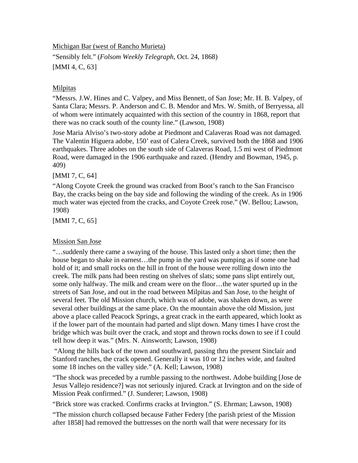Michigan Bar (west of Rancho Murieta)

"Sensibly felt." (*Folsom Weekly Telegraph*, Oct. 24, 1868) [MMI 4, C, [63](#page-44-0)]

### Milpitas

"Messrs. J.W. Hines and C. Valpey, and Miss Bennett, of San Jose; Mr. H. B. Valpey, of Santa Clara; Messrs. P. Anderson and C. B. Mendor and Mrs. W. Smith, of Berryessa, all of whom were intimately acquainted with this section of the country in 1868, report that there was no crack south of the county line." (Lawson, 1908)

Jose Maria Alviso's two-story adobe at Piedmont and Calaveras Road was not damaged. The Valentin Higuera adobe, 150' east of Calera Creek, survived both the 1868 and 1906 earthquakes. Three adobes on the south side of Calaveras Road, 1.5 mi west of Piedmont Road, were damaged in the 1906 earthquake and razed. (Hendry and Bowman, 1945, p. 409)

[MMI 7, C, [64](#page-44-0)]

"Along Coyote Creek the ground was cracked from Boot's ranch to the San Francisco Bay, the cracks being on the bay side and following the winding of the creek. As in 1906 much water was ejected from the cracks, and Coyote Creek rose." (W. Bellou; Lawson, 1908)

[MMI 7, C, [65](#page-44-0)]

## Mission San Jose

"…suddenly there came a swaying of the house. This lasted only a short time; then the house began to shake in earnest...the pump in the yard was pumping as if some one had hold of it; and small rocks on the hill in front of the house were rolling down into the creek. The milk pans had been resting on shelves of slats; some pans slipt entirely out, some only halfway. The milk and cream were on the floor…the water spurted up in the streets of San Jose, and out in the road between Milpitas and San Jose, to the height of several feet. The old Mission church, which was of adobe, was shaken down, as were several other buildings at the same place. On the mountain above the old Mission, just above a place called Peacock Springs, a great crack in the earth appeared, which lookt as if the lower part of the mountain had parted and slipt down. Many times I have crost the bridge which was built over the crack, and stopt and thrown rocks down to see if I could tell how deep it was." (Mrs. N. Ainsworth; Lawson, 1908)

 "Along the hills back of the town and southward, passing thru the present Sinclair and Stanford ranches, the crack opened. Generally it was 10 or 12 inches wide, and faulted some 18 inches on the valley side." (A. Kell; Lawson, 1908)

"The shock was preceded by a rumble passing to the northwest. Adobe building [Jose de Jesus Vallejo residence?] was not seriously injured. Crack at Irvington and on the side of Mission Peak confirmed." (J. Sunderer; Lawson, 1908)

"Brick store was cracked. Confirms cracks at Irvington." (S. Ehrman; Lawson, 1908)

"The mission church collapsed because Father Federy [the parish priest of the Mission after 1858] had removed the buttresses on the north wall that were necessary for its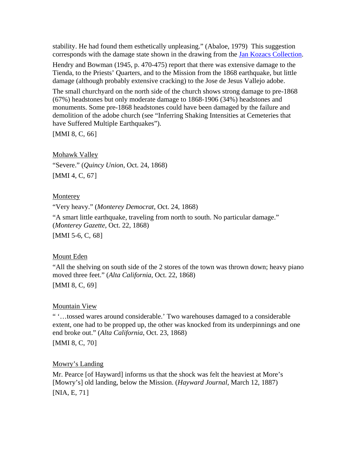stability. He had found them esthetically unpleasing." (Abaloe, 1979) This suggestion corresponds with the damage state shown in the drawing from the [Jan Kozacs Collection](http://nisee.berkeley.edu/elibrary/Image/KZ644).

Hendry and Bowman (1945, p. 470-475) report that there was extensive damage to the Tienda, to the Priests' Quarters, and to the Mission from the 1868 earthquake, but little damage (although probably extensive cracking) to the Jose de Jesus Vallejo adobe.

The small churchyard on the north side of the church shows strong damage to pre-1868 (67%) headstones but only moderate damage to 1868-1906 (34%) headstones and monuments. Some pre-1868 headstones could have been damaged by the failure and demolition of the adobe church (see "Inferring Shaking Intensities at Cemeteries that have Suffered Multiple Earthquakes").

[MMI 8, C, [66](#page-44-0)]

Mohawk Valley "Severe." (*Quincy Union*, Oct. 24, 1868) [MMI 4, C, [67](#page-44-0)]

### **Monterey**

"Very heavy." (*Monterey Democrat*, Oct. 24, 1868)

"A smart little earthquake, traveling from north to south. No particular damage." (*Monterey Gazette*, Oct. 22, 1868)

[MMI 5-6, C, [68](#page-44-0)]

## Mount Eden

"All the shelving on south side of the 2 stores of the town was thrown down; heavy piano moved three feet." (*Alta California*, Oct. 22, 1868)

[MMI 8, C, [69](#page-44-0)]

## Mountain View

" '…tossed wares around considerable.' Two warehouses damaged to a considerable extent, one had to be propped up, the other was knocked from its underpinnings and one end broke out." (*Alta California*, Oct. 23, 1868)

#### [MMI 8, C, [70](#page-44-0)]

## Mowry's Landing

Mr. Pearce [of Hayward] informs us that the shock was felt the heaviest at More's [Mowry's] old landing, below the Mission. (*Hayward Journal*, March 12, 1887) [NIA, E, [71](#page-44-0)]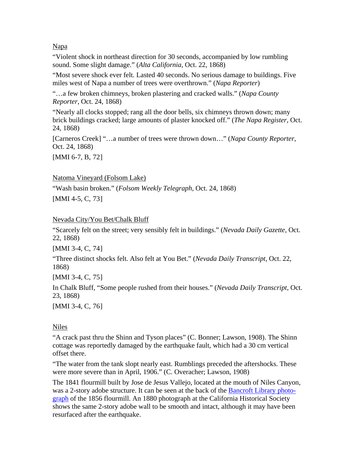### Napa

"Violent shock in northeast direction for 30 seconds, accompanied by low rumbling sound. Some slight damage." (*Alta California*, Oct. 22, 1868)

"Most severe shock ever felt. Lasted 40 seconds. No serious damage to buildings. Five miles west of Napa a number of trees were overthrown." (*Napa Reporter*)

"…a few broken chimneys, broken plastering and cracked walls." (*Napa County Reporter*, Oct. 24, 1868)

"Nearly all clocks stopped; rang all the door bells, six chimneys thrown down; many brick buildings cracked; large amounts of plaster knocked off." (*The Napa Register*, Oct. 24, 1868)

[Carneros Creek] "…a number of trees were thrown down…" (*Napa County Reporter*, Oct. 24, 1868)

[MMI 6-7, B, [72](#page-44-0)]

### Natoma Vineyard (Folsom Lake)

"Wash basin broken." (*Folsom Weekly Telegraph*, Oct. 24, 1868) [MMI 4-5, C, [73](#page-44-0)]

## Nevada City/You Bet/Chalk Bluff

"Scarcely felt on the street; very sensibly felt in buildings." (*Nevada Daily Gazette*, Oct. 22, 1868)

[MMI 3-4, C, [74](#page-44-0)]

"Three distinct shocks felt. Also felt at You Bet." (*Nevada Daily Transcript*, Oct. 22, 1868)

[MMI 3-4, C, [75](#page-44-0)]

In Chalk Bluff, "Some people rushed from their houses." (*Nevada Daily Transcript*, Oct. 23, 1868)

[MMI 3-4, C, [76](#page-44-0)]

## Niles

"A crack past thru the Shinn and Tyson places" (C. Bonner; Lawson, 1908). The Shinn cottage was reportedly damaged by the earthquake fault, which had a 30 cm vertical offset there.

"The water from the tank slopt nearly east. Rumblings preceded the aftershocks. These were more severe than in April, 1906." (C. Overacher; Lawson, 1908)

The 1841 flourmill built by Jose de Jesus Vallejo, located at the mouth of Niles Canyon, was a 2-story adobe structure. It can be seen at the back of the [Bancroft Library photo](http://content.cdlib.org/dynaxml/data/13030/17/hb55800717/files/hb55800717-FID4.jpg)[graph](http://content.cdlib.org/dynaxml/data/13030/17/hb55800717/files/hb55800717-FID4.jpg) of the 1856 flourmill. An 1880 photograph at the California Historical Society shows the same 2-story adobe wall to be smooth and intact, although it may have been resurfaced after the earthquake.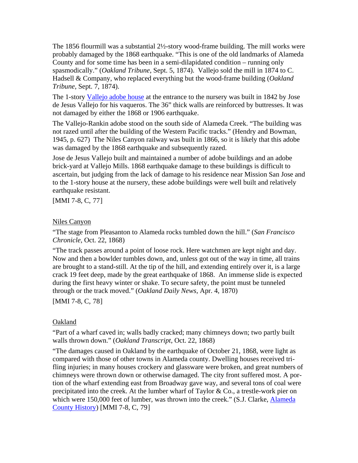The 1856 flourmill was a substantial 2½-story wood-frame building. The mill works were probably damaged by the 1868 earthquake. "This is one of the old landmarks of Alameda County and for some time has been in a semi-dilapidated condition – running only spasmodically." (*Oakland Tribune*, Sept. 5, 1874). Vallejo sold the mill in 1874 to C. Hadsell & Company, who replaced everything but the wood-frame building (*Oakland Tribune*, Sept. 7, 1874).

The 1-story [Vallejo adobe house](http://memory.loc.gov/cgi-bin/displayPhoto.pl?path=/pnp/habshaer/ca/ca0000/ca0007/photos&topImages=010826pr.jpg&topLinks=010826pv.jpg,010826pu.tif&title=1.%20%20Historic%20American%20Buildings%20Survey%20Robert%20W.%20Kerrigan,%20Photographer%20Fe) at the entrance to the nursery was built in 1842 by Jose de Jesus Vallejo for his vaqueros. The 36" thick walls are reinforced by buttresses. It was not damaged by either the 1868 or 1906 earthquake.

The Vallejo-Rankin adobe stood on the south side of Alameda Creek. "The building was not razed until after the building of the Western Pacific tracks." (Hendry and Bowman, 1945, p. 627) The Niles Canyon railway was built in 1866, so it is likely that this adobe was damaged by the 1868 earthquake and subsequently razed.

Jose de Jesus Vallejo built and maintained a number of adobe buildings and an adobe brick-yard at Vallejo Mills. 1868 earthquake damage to these buildings is difficult to ascertain, but judging from the lack of damage to his residence near Mission San Jose and to the 1-story house at the nursery, these adobe buildings were well built and relatively earthquake resistant.

[MMI 7-8, C, [77](#page-44-0)]

#### Niles Canyon

"The stage from Pleasanton to Alameda rocks tumbled down the hill." (*San Francisco Chronicle*, Oct. 22, 1868)

"The track passes around a point of loose rock. Here watchmen are kept night and day. Now and then a bowlder tumbles down, and, unless got out of the way in time, all trains are brought to a stand-still. At the tip of the hill, and extending entirely over it, is a large crack 19 feet deep, made by the great earthquake of 1868. An immense slide is expected during the first heavy winter or shake. To secure safety, the point must be tunneled through or the track moved." (*Oakland Daily News*, Apr. 4, 1870)

[MMI 7-8, C, [78](#page-44-0)]

#### Oakland

"Part of a wharf caved in; walls badly cracked; many chimneys down; two partly built walls thrown down." (*Oakland Transcript*, Oct. 22, 1868)

"The damages caused in Oakland by the earthquake of October 21, 1868, were light as compared with those of other towns in Alameda county. Dwelling houses received trifling injuries; in many houses crockery and glassware were broken, and great numbers of chimneys were thrown down or otherwise damaged. The city front suffered most. A portion of the wharf extending east from Broadway gave way, and several tons of coal were precipitated into the creek. At the lumber wharf of Taylor & Co., a trestle-work pier on which were 150,000 feet of lumber, was thrown into the creek." (S.J. Clarke, Alameda [County History](http://www.calarchives4u.com/history/alameda/1914-ch20.htm)) [MMI 7-8, C, [79](#page-44-0)]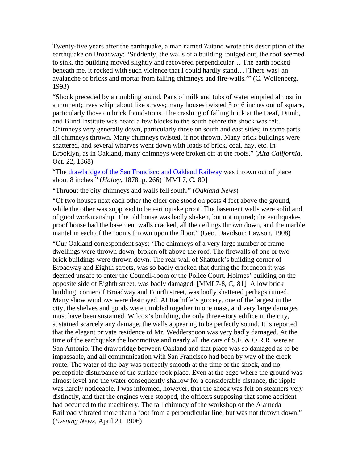Twenty-five years after the earthquake, a man named Zutano wrote this description of the earthquake on Broadway: "Suddenly, the walls of a building 'bulged out, the roof seemed to sink, the building moved slightly and recovered perpendicular… The earth rocked beneath me, it rocked with such violence that I could hardly stand… [There was] an avalanche of bricks and mortar from falling chimneys and fire-walls.'" (C. Wollenberg, 1993)

"Shock preceded by a rumbling sound. Pans of milk and tubs of water emptied almost in a moment; trees whipt about like straws; many houses twisted 5 or 6 inches out of square, particularly those on brick foundations. The crashing of falling brick at the Deaf, Dumb, and Blind Institute was heard a few blocks to the south before the shock was felt. Chimneys very generally down, particularly those on south and east sides; in some parts all chimneys thrown. Many chimneys twisted, if not thrown. Many brick buildings were shattered, and several wharves went down with loads of brick, coal, hay, etc. In Brooklyn, as in Oakland, many chimneys were broken off at the roofs." (*Alta California*, Oct. 22, 1868)

"The [drawbridge of the San Francisco and Oakland Railway](http://www.californiapioneers.org/lh/search_image.php?id=1197&type=search&page=7&category=railroad) was thrown out of place about 8 inches." (*Halley*, 1878, p. 266) [MMI 7, C, [80](#page-44-0)]

"Thruout the city chimneys and walls fell south." (*Oakland News*)

"Of two houses next each other the older one stood on posts 4 feet above the ground, while the other was supposed to be earthquake proof. The basement walls were solid and of good workmanship. The old house was badly shaken, but not injured; the earthquakeproof house had the basement walls cracked, all the ceilings thrown down, and the marble mantel in each of the rooms thrown upon the floor." (Geo. Davidson; Lawson, 1908)

"Our Oakland correspondent says: 'The chimneys of a very large number of frame dwellings were thrown down, broken off above the roof. The firewalls of one or two brick buildings were thrown down. The rear wall of Shattuck's building corner of Broadway and Eighth streets, was so badly cracked that during the forenoon it was deemed unsafe to enter the Council-room or the Police Court. Holmes' building on the opposite side of Eighth street, was badly damaged. [MMI 7-8, C, [81](#page-44-0)] A low brick building, corner of Broadway and Fourth street, was badly shattered perhaps ruined. Many show windows were destroyed. At Rachiffe's grocery, one of the largest in the city, the shelves and goods were tumbled together in one mass, and very large damages must have been sustained. Wilcox's building, the only three-story edifice in the city, sustained scarcely any damage, the walls appearing to be perfectly sound. It is reported that the elegant private residence of Mr. Wedderspoon was very badly damaged. At the time of the earthquake the locomotive and nearly all the cars of S.F. & O.R.R. were at San Antonio. The drawbridge between Oakland and that place was so damaged as to be impassable, and all communication with San Francisco had been by way of the creek route. The water of the bay was perfectly smooth at the time of the shock, and no perceptible disturbance of the surface took place. Even at the edge where the ground was almost level and the water consequently shallow for a considerable distance, the ripple was hardly noticeable. I was informed, however, that the shock was felt on steamers very distinctly, and that the engines were stopped, the officers supposing that some accident had occurred to the machinery. The tall chimney of the workshop of the Alameda Railroad vibrated more than a foot from a perpendicular line, but was not thrown down." (*Evening News*, April 21, 1906)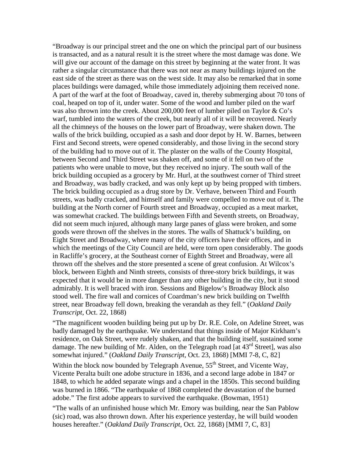"Broadway is our principal street and the one on which the principal part of our business is transacted, and as a natural result it is the street where the most damage was done. We will give our account of the damage on this street by beginning at the water front. It was rather a singular circumstance that there was not near as many buildings injured on the east side of the street as there was on the west side. It may also be remarked that in some places buildings were damaged, while those immediately adjoining them received none. A part of the warf at the foot of Broadway, caved in, thereby submerging about 70 tons of coal, heaped on top of it, under water. Some of the wood and lumber piled on the warf was also thrown into the creek. About 200,000 feet of lumber piled on Taylor  $\&$  Co's warf, tumbled into the waters of the creek, but nearly all of it will be recovered. Nearly all the chimneys of the houses on the lower part of Broadway, were shaken down. The walls of the brick building, occupied as a sash and door depot by H. W. Barnes, between First and Second streets, were opened considerably, and those living in the second story of the building had to move out of it. The plaster on the walls of the County Hospital, between Second and Third Street was shaken off, and some of it fell on two of the patients who were unable to move, but they received no injury. The south wall of the brick building occupied as a grocery by Mr. Hurl, at the southwest corner of Third street and Broadway, was badly cracked, and was only kept up by being propped with timbers. The brick building occupied as a drug store by Dr. Verhave, between Third and Fourth streets, was badly cracked, and himself and family were compelled to move out of it. The building at the North corner of Fourth street and Broadway, occupied as a meat market, was somewhat cracked. The buildings between Fifth and Seventh streets, on Broadway, did not seem much injured, although many large panes of glass were broken, and some goods were thrown off the shelves in the stores. The walls of Shattuck's building, on Eight Street and Broadway, where many of the city officers have their offices, and in which the meetings of the City Council are held, were torn open considerably. The goods in Racliffe's grocery, at the Southeast corner of Eighth Street and Broadway, were all thrown off the shelves and the store presented a scene of great confusion. At Wilcox's block, between Eighth and Ninth streets, consists of three-story brick buildings, it was expected that it would be in more danger than any other building in the city, but it stood admirably. It is well braced with iron. Sessions and Bigelow's Broadway Block also stood well. The fire wall and cornices of Coardman's new brick building on Twelfth street, near Broadway fell down, breaking the verandah as they fell." (*Oakland Daily Transcript*, Oct. 22, 1868)

"The magnificent wooden building being put up by Dr. R.E. Cole, on Adeline Street, was badly damaged by the earthquake. We understand that things inside of Major Kirkham's residence, on Oak Street, were rudely shaken, and that the building itself, sustained some damage. The new building of Mr. Alden, on the Telegraph road [at 43<sup>rd</sup> Street], was also somewhat injured." (*Oakland Daily Transcript*, Oct. 23, 1868) [MMI 7-8, C, [82](#page-44-0)]

Within the block now bounded by Telegraph Avenue,  $55<sup>th</sup>$  Street, and Vicente Way, Vicente Peralta built one adobe structure in 1836, and a second large adobe in 1847 or 1848, to which he added separate wings and a chapel in the 1850s. This second building was burned in 1866. "The earthquake of 1868 completed the devastation of the burned adobe." The first adobe appears to survived the earthquake. (Bowman, 1951)

"The walls of an unfinished house which Mr. Emory was building, near the San Pablow (sic) road, was also thrown down. After his experience yesterday, he will build wooden houses hereafter." (*Oakland Daily Transcript*, Oct. 22, 1868) [MMI 7, C, [83](#page-44-0)]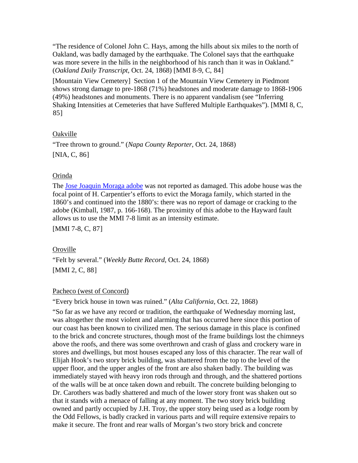"The residence of Colonel John C. Hays, among the hills about six miles to the north of Oakland, was badly damaged by the earthquake. The Colonel says that the earthquake was more severe in the hills in the neighborhood of his ranch than it was in Oakland." (*Oakland Daily Transcript*, Oct. 24, 1868) [MMI 8-9, C, [84](#page-44-0)]

[Mountain View Cemetery] Section 1 of the Mountain View Cemetery in Piedmont shows strong damage to pre-1868 (71%) headstones and moderate damage to 1868-1906 (49%) headstones and monuments. There is no apparent vandalism (see "Inferring Shaking Intensities at Cemeteries that have Suffered Multiple Earthquakes"). [MMI 8, C, [85](#page-44-0)]

## Oakville

"Tree thrown to ground." (*Napa County Reporter*, Oct. 24, 1868) [NIA, C, [86](#page-44-0)]

### Orinda

The [Jose Joaquin Moraga adobe](http://memory.loc.gov/cgi-bin/displayPhoto.pl?path=/pnp/habshaer/ca/ca0100/ca0123/photos&topImages=020435pr.jpg&topLinks=020435pv.jpg,020435pu.tif&title=1.%20%20Historic%20American%20Buildings%20Survey%20Taken%253a%20January%2014,%201922%20%253cbr%253eH) was not reported as damaged. This adobe house was the focal point of H. Carpentier's efforts to evict the Moraga family, which started in the 1860's and continued into the 1880's: there was no report of damage or cracking to the adobe (Kimball, 1987, p. 166-168). The proximity of this adobe to the Hayward fault allows us to use the MMI 7-8 limit as an intensity estimate.

[MMI 7-8, C, [87](#page-44-0)]

## Oroville

"Felt by several." (*Weekly Butte Record*, Oct. 24, 1868) [MMI 2, C, [88](#page-44-0)]

#### Pacheco (west of Concord)

"Every brick house in town was ruined." (*Alta California*, Oct. 22, 1868)

"So far as we have any record or tradition, the earthquake of Wednesday morning last, was altogether the most violent and alarming that has occurred here since this portion of our coast has been known to civilized men. The serious damage in this place is confined to the brick and concrete structures, though most of the frame buildings lost the chimneys above the roofs, and there was some overthrown and crash of glass and crockery ware in stores and dwellings, but most houses escaped any loss of this character. The rear wall of Elijah Hook's two story brick building, was shattered from the top to the level of the upper floor, and the upper angles of the front are also shaken badly. The building was immediately stayed with heavy iron rods through and through, and the shattered portions of the walls will be at once taken down and rebuilt. The concrete building belonging to Dr. Carothers was badly shattered and much of the lower story front was shaken out so that it stands with a menace of falling at any moment. The two story brick building owned and partly occupied by J.H. Troy, the upper story being used as a lodge room by the Odd Fellows, is badly cracked in various parts and will require extensive repairs to make it secure. The front and rear walls of Morgan's two story brick and concrete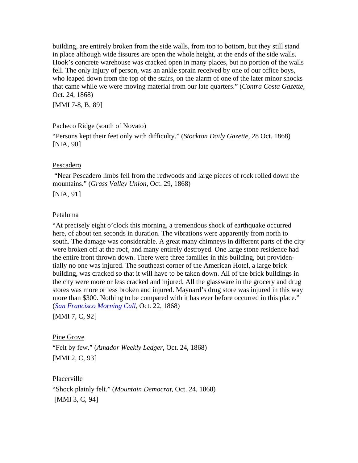building, are entirely broken from the side walls, from top to bottom, but they still stand in place although wide fissures are open the whole height, at the ends of the side walls. Hook's concrete warehouse was cracked open in many places, but no portion of the walls fell. The only injury of person, was an ankle sprain received by one of our office boys, who leaped down from the top of the stairs, on the alarm of one of the later minor shocks that came while we were moving material from our late quarters." (*Contra Costa Gazette*, Oct. 24, 1868)

[MMI 7-8, B, [89](#page-44-0)]

## Pacheco Ridge (south of Novato)

"Persons kept their feet only with difficulty." (*Stockton Daily Gazette*, 28 Oct. 1868) [NIA, [90](#page-44-0)]

### Pescadero

 "Near Pescadero limbs fell from the redwoods and large pieces of rock rolled down the mountains." (*Grass Valley Union*, Oct. 29, 1868)

[NIA, [91](#page-44-0)]

### Petaluma

"At precisely eight o'clock this morning, a tremendous shock of earthquake occurred here, of about ten seconds in duration. The vibrations were apparently from north to south. The damage was considerable. A great many chimneys in different parts of the city were broken off at the roof, and many entirely destroyed. One large stone residence had the entire front thrown down. There were three families in this building, but providentially no one was injured. The southeast corner of the American Hotel, a large brick building, was cracked so that it will have to be taken down. All of the brick buildings in the city were more or less cracked and injured. All the glassware in the grocery and drug stores was more or less broken and injured. Maynard's drug store was injured in this way more than \$300. Nothing to be compared with it has ever before occurred in this place." (*[San Francisco Morning Call](http://www.sfmuseum.net/hist4/68oakl.html)*, Oct. 22, 1868)

[MMI 7, C, [92](#page-44-0)]

## Pine Grove

"Felt by few." (*Amador Weekly Ledger*, Oct. 24, 1868) [MMI 2, C, [93](#page-44-0)]

Placerville

"Shock plainly felt." (*Mountain Democrat*, Oct. 24, 1868) [MMI 3, C, [94](#page-45-0)]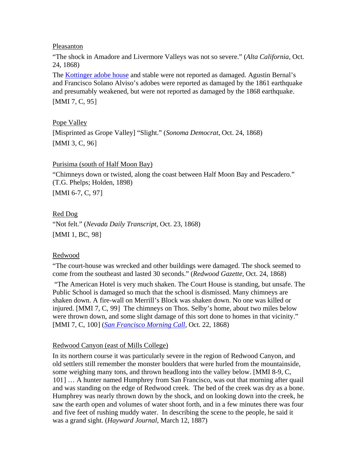Pleasanton

"The shock in Amadore and Livermore Valleys was not so severe." (*Alta California*, Oct. 24, 1868)

The **[Kottinger adobe house](http://memory.loc.gov/cgi-bin/displayPhoto.pl?path=/pnp/habshaer/ca/ca0000/ca0020/photos&topImages=010993pr.jpg&topLinks=010993pv.jpg,010993pu.tif&title=1.%20%20Historic%20American%20Buildings%20Survey%20%20%20%20%20%253cbr%253eHABS%20CAL,1-PLEAS,1-1&)** and stable were not reported as damaged. Agustin Bernal's and Francisco Solano Alviso's adobes were reported as damaged by the 1861 earthquake and presumably weakened, but were not reported as damaged by the 1868 earthquake.

[MMI 7, C, [95](#page-45-0)]

Pope Valley [Misprinted as Grope Valley] "Slight." (*Sonoma Democrat*, Oct. 24, 1868) [MMI 3, C, [96](#page-45-0)]

### Purisima (south of Half Moon Bay)

"Chimneys down or twisted, along the coast between Half Moon Bay and Pescadero." (T.G. Phelps; Holden, 1898) [MMI 6-7, C, [97](#page-45-0)]

## Red Dog

"Not felt." (*Nevada Daily Transcript*, Oct. 23, 1868) [MMI 1, BC, [98](#page-45-0)]

## Redwood

"The court-house was wrecked and other buildings were damaged. The shock seemed to come from the southeast and lasted 30 seconds." (*Redwood Gazette,* Oct. 24, 1868)

 "The American Hotel is very much shaken. The Court House is standing, but unsafe. The Public School is damaged so much that the school is dismissed. Many chimneys are shaken down. A fire-wall on Merrill's Block was shaken down. No one was killed or injured. [MMI 7, C, [99](#page-45-0)] The chimneys on Thos. Selby's home, about two miles below were thrown down, and some slight damage of this sort done to homes in that vicinity." [MMI 7, C, [100](#page-45-0)] (*[San Francisco Morning Call](http://www.sfmuseum.net/hist4/68oakl.html)*, Oct. 22, 1868)

## Redwood Canyon (east of Mills College)

In its northern course it was particularly severe in the region of Redwood Canyon, and old settlers still remember the monster boulders that were hurled from the mountainside, some weighing many tons, and thrown headlong into the valley below. [MMI 8-9, C, [101](#page-45-0)] … A hunter named Humphrey from San Francisco, was out that morning after quail and was standing on the edge of Redwood creek. The bed of the creek was dry as a bone. Humphrey was nearly thrown down by the shock, and on looking down into the creek, he saw the earth open and volumes of water shoot forth, and in a few minutes there was four and five feet of rushing muddy water. In describing the scene to the people, he said it was a grand sight. (*Hayward Journal*, March 12, 1887)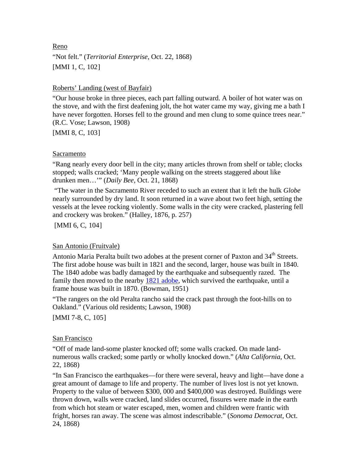Reno

"Not felt." (*Territorial Enterprise*, Oct. 22, 1868) [MMI 1, C, [102](#page-45-0)]

### Roberts' Landing (west of Bayfair)

"Our house broke in three pieces, each part falling outward. A boiler of hot water was on the stove, and with the first deafening jolt, the hot water came my way, giving me a bath I have never forgotten. Horses fell to the ground and men clung to some quince trees near." (R.C. Vose; Lawson, 1908)

[MMI 8, C, [103](#page-45-0)]

### Sacramento

"Rang nearly every door bell in the city; many articles thrown from shelf or table; clocks stopped; walls cracked; 'Many people walking on the streets staggered about like drunken men…'" (*Daily Bee*, Oct. 21, 1868)

 "The water in the Sacramento River receded to such an extent that it left the hulk *Globe* nearly surrounded by dry land. It soon returned in a wave about two feet high, setting the vessels at the levee rocking violently. Some walls in the city were cracked, plastering fell and crockery was broken." (Halley, 1876, p. 257)

[MMI 6, C, [104](#page-45-0)]

## San Antonio (Fruitvale)

Antonio Maria Peralta built two adobes at the present corner of Paxton and 34<sup>th</sup> Streets. The first adobe house was built in 1821 and the second, larger, house was built in 1840. The 1840 adobe was badly damaged by the earthquake and subsequently razed. The family then moved to the nearby [1821 adobe,](http://content.cdlib.org/ark:/13030/kt2c60240w/?&query=adobe&brand=oac) which survived the earthquake, until a frame house was built in 1870. (Bowman, 1951)

"The rangers on the old Peralta rancho said the crack past through the foot-hills on to Oakland." (Various old residents; Lawson, 1908)

[MMI 7-8, C, [105](#page-45-0)]

## San Francisco

"Off of made land-some plaster knocked off; some walls cracked. On made landnumerous walls cracked; some partly or wholly knocked down." (*Alta California*, Oct. 22, 1868)

"In San Francisco the earthquakes—for there were several, heavy and light—have done a great amount of damage to life and property. The number of lives lost is not yet known. Property to the value of between \$300, 000 and \$400,000 was destroyed. Buildings were thrown down, walls were cracked, land slides occurred, fissures were made in the earth from which hot steam or water escaped, men, women and children were frantic with fright, horses ran away. The scene was almost indescribable." (*Sonoma Democrat*, Oct. 24, 1868)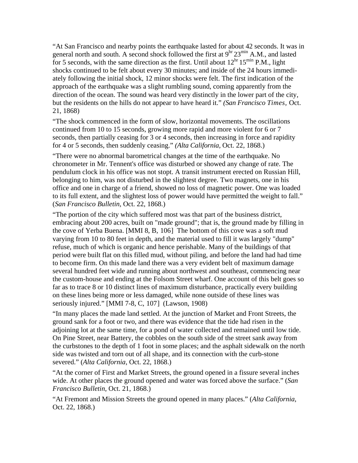"At San Francisco and nearby points the earthquake lasted for about 42 seconds. It was in general north and south. A second shock followed the first at  $9<sup>hr</sup> 23<sup>min</sup> A.M.,$  and lasted for 5 seconds, with the same direction as the first. Until about  $12<sup>hr</sup> 15<sup>min</sup> P.M.,$  light shocks continued to be felt about every 30 minutes; and inside of the 24 hours immediately following the initial shock, 12 minor shocks were felt. The first indication of the approach of the earthquake was a slight rumbling sound, coming apparently from the direction of the ocean. The sound was heard very distinctly in the lower part of the city, but the residents on the hills do not appear to have heard it." *(San Francisco Times,* Oct. 21, 1868)

"The shock commenced in the form of slow, horizontal movements. The oscillations continued from 10 to 15 seconds, growing more rapid and more violent for 6 or 7 seconds, then partially ceasing for 3 or 4 seconds, then increasing in force and rapidity for 4 or 5 seconds, then suddenly ceasing." *(Alta California,* Oct. 22, 1868.)

"There were no abnormal barometrical changes at the time of the earthquake. No chronometer in Mr. Tennent's office was disturbed or showed any change of rate. The pendulum clock in his office was not stopt. A transit instrument erected on Russian Hill, belonging to him, was not disturbed in the slightest degree. Two magnets, one in his office and one in charge of a friend, showed no loss of magnetic power. One was loaded to its full extent, and the slightest loss of power would have permitted the weight to fall." (*San Francisco Bulletin*, Oct. 22, 1868.)

"The portion of the city which suffered most was that part of the business district, embracing about 200 acres, built on "made ground"; that is, the ground made by filling in the cove of Yerba Buena. [MMI 8, B, [106](#page-45-0)] The bottom of this cove was a soft mud varying from 10 to 80 feet in depth, and the material used to fill it was largely "dump" refuse, much of which is organic and hence perishable. Many of the buildings of that period were built flat on this filled mud, without piling, and before the land had had time to become firm. On this made land there was a very evident belt of maximum damage several hundred feet wide and running about northwest and southeast, commencing near the custom-house and ending at the Folsom Street wharf. One account of this belt goes so far as to trace 8 or 10 distinct lines of maximum disturbance, practically every building on these lines being more or less damaged, while none outside of these lines was seriously injured." [MMI 7-8, C, [107](#page-45-0)] (Lawson, 1908)

"In many places the made land settled. At the junction of Market and Front Streets, the ground sank for a foot or two, and there was evidence that the tide had risen in the adjoining lot at the same time, for a pond of water collected and remained until low tide. On Pine Street, near Battery, the cobbles on the south side of the street sank away from the curbstones to the depth of 1 foot in some places; and the asphalt sidewalk on the north side was twisted and torn out of all shape, and its connection with the curb-stone severed." (*Alta California*, Oct. 22, 1868.)

"At the corner of First and Market Streets, the ground opened in a fissure several inches wide. At other places the ground opened and water was forced above the surface." (*San Francisco Bulletin*, Oct. 21, 1868.)

"At Fremont and Mission Streets the ground opened in many places." (*Alta California*, Oct. 22, 1868.)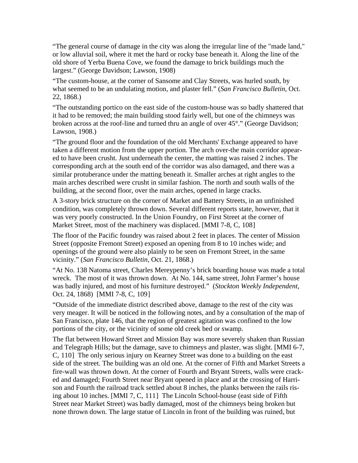"The general course of damage in the city was along the irregular line of the "made land," or low alluvial soil, where it met the hard or rocky base beneath it. Along the line of the old shore of Yerba Buena Cove, we found the damage to brick buildings much the largest." (George Davidson; Lawson, 1908)

"The custom-house, at the corner of Sansome and Clay Streets, was hurled south, by what seemed to be an undulating motion, and plaster fell." (*San Francisco Bulletin*, Oct. 22, 1868.)

"The outstanding portico on the east side of the custom-house was so badly shattered that it had to be removed; the main building stood fairly well, but one of the chimneys was broken across at the roof-line and turned thru an angle of over 45°." (George Davidson; Lawson, 1908.)

"The ground floor and the foundation of the old Merchants' Exchange appeared to have taken a different motion from the upper portion. The arch over-the main corridor appeared to have been crusht. Just underneath the center, the matting was raised 2 inches. The corresponding arch at the south end of the corridor was also damaged, and there was a similar protuberance under the matting beneath it. Smaller arches at right angles to the main arches described were crusht in similar fashion. The north and south walls of the building, at the second floor, over the main arches, opened in large cracks.

A 3-story brick structure on the corner of Market and Battery Streets, in an unfinished condition, was completely thrown down. Several different reports state, however, that it was very poorly constructed. In the Union Foundry, on First Street at the corner of Market Street, most of the machinery was displaced. [MMI 7-8, C, [108](#page-45-0)]

The floor of the Pacific foundry was raised about 2 feet in places. The center of Mission Street (opposite Fremont Street) exposed an opening from 8 to 10 inches wide; and openings of the ground were also plainly to be seen on Fremont Street, in the same vicinity." (*San Francisco Bulletin*, Oct. 21, 1868.)

"At No. 138 Natoma street, Charles Mereypenny's brick boarding house was made a total wreck. The most of it was thrown down. At No. 144, same street, John Farmer's house was badly injured, and most of his furniture destroyed." (*Stockton Weekly Independent*, Oct. 24, 1868) [MMI 7-8, C, [109](#page-45-0)]

"Outside of the immediate district described above, damage to the rest of the city was very meager. It will be noticed in the following notes, and by a consultation of the map of San Francisco, plate 146, that the region of greatest agitation was confined to the low portions of the city, or the vicinity of some old creek bed or swamp.

The flat between Howard Street and Mission Bay was more severely shaken than Russian and Telegraph Hills; but the damage, save to chimneys and plaster, was slight. [MMI 6-7, C, [110](#page-45-0)] The only serious injury on Kearney Street was done to a building on the east side of the street. The building was an old one. At the corner of Fifth and Market Streets a fire-wall was thrown down. At the corner of Fourth and Bryant Streets, walls were cracked and damaged; Fourth Street near Bryant opened in place and at the crossing of Harrison and Fourth the railroad track settled about 8 inches, the planks between the rails rising about 10 inches. [MMI 7, C, [111](#page-45-0)] The Lincoln School-house (east side of Fifth Street near Market Street) was badly damaged, most of the chimneys being broken but none thrown down. The large statue of Lincoln in front of the building was ruined, but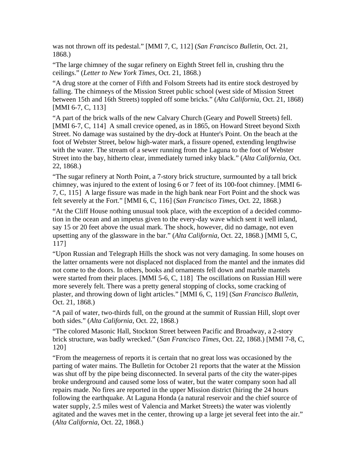was not thrown off its pedestal." [MMI 7, C, 112] (*San Francisco Bulletin*, Oct. 21, 1868.)

"The large chimney of the sugar refinery on Eighth Street fell in, crushing thru the ceilings." (*Letter to New York Times*, Oct. 21, 1868.)

falling. The chimneys of the Mission Street public school (west side of Mission Street between 15th and 16th Streets) toppled off some bricks." (*Alta California*, Oct. 21, 1868) "A drug store at the corner of Fifth and Folsom Streets had its entire stock destroyed by [MMI 6-7, C, [113](#page-45-0)]

with the water. The stream of a sewer running from the Laguna to the foot of Webster "A part of the brick walls of the new Calvary Church (Geary and Powell Streets) fell. [MMI 6-7, C, [114](#page-45-0)] A small crevice opened, as in 1865, on Howard Street beyond Sixth Street. No damage was sustained by the dry-dock at Hunter's Point. On the beach at the foot of Webster Street, below high-water mark, a fissure opened, extending lengthwise Street into the bay, hitherto clear, immediately turned inky black." (*Alta California*, Oct. 22, 1868.)

chimney, was injured to the extent of losing 6 or 7 feet of its 100-foot chimney. [MMI 6-"The sugar refinery at North Point, a 7-story brick structure, surmounted by a tall brick 7, C, [115](#page-45-0)] A large fissure was made in the high bank near Fort Point and the shock was felt severely at the Fort." [MMI 6, C, [116](#page-45-0)] (*San Francisco Times*, Oct. 22, 1868.)

say 15 or 20 feet above the usual mark. The shock, however, did no damage, not even "At the Cliff House nothing unusual took place, with the exception of a decided commotion in the ocean and an impetus given to the every-day wave which sent it well inland, upsetting any of the glassware in the bar." (*Alta California*, Oct. 22, 1868.) [MMI 5, C, [117](#page-45-0)]

more severely felt. There was a pretty general stopping of clocks, some cracking of "Upon Russian and Telegraph Hills the shock was not very damaging. In some houses on the latter ornaments were not displaced not displaced from the mantel and the inmates did not come to the doors. In others, books and ornaments fell down and marble mantels were started from their places. [MMI 5-6, C, [118](#page-45-0)] The oscillations on Russian Hill were plaster, and throwing down of light articles." [MMI 6, C, 119] (*San Francisco Bulletin*, Oct. 21, 1868.)

"A pail of water, two-thirds full, on the ground at the summit of Russian Hill, slopt over both sides." (*Alta California*, Oct. 22, 1868.)

"The colored Masonic Hall, Stockton Street between Pacific and Broadway, a 2-story brick structure, was badly wrecked." (*San Francisco Times*, Oct. 22, 1868.) [MMI 7-8, C, 120]

water supply, 2.5 miles west of Valencia and Market Streets) the water was violently agitated and the waves met in the center, throwing up a large jet several feet into the air." (*Alta California*, Oct. 22, 1868.) "From the meagerness of reports it is certain that no great loss was occasioned by the parting of water mains. The Bulletin for October 21 reports that the water at the Mission was shut off by the pipe being disconnected. In several parts of the city the water-pipes broke underground and caused some loss of water, but the water company soon had all repairs made. No fires are reported in the upper Mission district (hiring the 24 hours following the earthquake. At Laguna Honda (a natural reservoir and the chief source of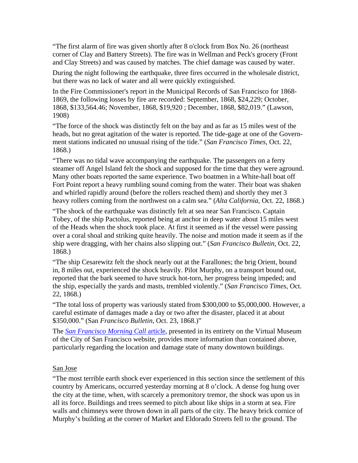"The first alarm of fire was given shortly after 8 o'clock from Box No. 26 (northeast corner of Clay and Battery Streets). The fire was in Wellman and Peck's grocery (Front and Clay Streets) and was caused by matches. The chief damage was caused by water.

During the night following the earthquake, three fires occurred in the wholesale district, but there was no lack of water and all were quickly extinguished.

In the Fire Commissioner's report in the Municipal Records of San Francisco for 1868- 1869, the following losses by fire are recorded: September, 1868, \$24,229; October, 1868, \$133,564.46; November, 1868, \$19,920 ; December, 1868, \$82,019." (Lawson, 1908)

"The force of the shock was distinctly felt on the bay and as far as 15 miles west of the heads, but no great agitation of the water is reported. The tide-gage at one of the Government stations indicated no unusual rising of the tide." (*San Francisco Times*, Oct. 22, 1868.)

"There was no tidal wave accompanying the earthquake. The passengers on a ferry steamer off Angel Island felt the shock and supposed for the time that they were aground. Many other boats reported the same experience. Two boatmen in a White-hall boat off Fort Point report a heavy rumbling sound coming from the water. Their boat was shaken and whirled rapidly around (before the rollers reached them) and shortly they met 3 heavy rollers coming from the northwest on a calm sea." (*Alta California*, Oct. 22, 1868.)

"The shock of the earthquake was distinctly felt at sea near San Francisco. Captain Tobey, of the ship Pactolus, reported being at anchor in deep water about 15 miles west of the Heads when the shock took place. At first it seemed as if the vessel were passing over a coral shoal and striking quite heavily. The noise and motion made it seem as if the ship were dragging, with her chains also slipping out." (*San Francisco Bulletin*, Oct. 22, 1868.)

"The ship Cesarewitz felt the shock nearly out at the Farallones; the brig Orient, bound in, 8 miles out, experienced the shock heavily. Pilot Murphy, on a transport bound out, reported that the bark seemed to have struck hot-torn, her progress being impeded; and the ship, especially the yards and masts, trembled violently." (*San Francisco Times*, Oct. 22, 1868.)

"The total loss of property was variously stated from \$300,000 to \$5,000,000. However, a careful estimate of damages made a day or two after the disaster, placed it at about \$350,000." (San *Francisco Bulletin*, Oct. 23, 1868.)"

The *[San Francisco Morning Call](http://www.sfmuseum.org/hist1/1868eq.html)* article, presented in its entirety on the Virtual Museum of the City of San Francisco website, provides more information than contained above, particularly regarding the location and damage state of many downtown buildings.

#### San Jose

"The most terrible earth shock ever experienced in this section since the settlement of this country by Americans, occurred yesterday morning at 8 o'clock. A dense fog hung over the city at the time, when, with scarcely a premonitory tremor, the shock was upon us in all its force. Buildings and trees seemed to pitch about like ships in a storm at sea. Fire walls and chimneys were thrown down in all parts of the city. The heavy brick cornice of Murphy's building at the corner of Market and Eldorado Streets fell to the ground. The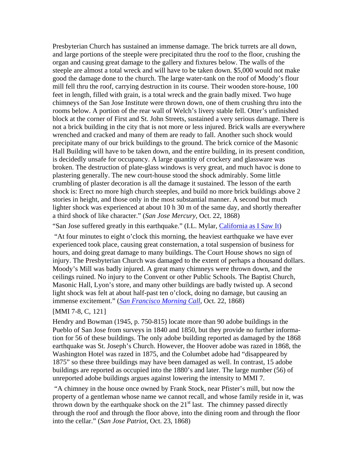Presbyterian Church has sustained an immense damage. The brick turrets are all down, and large portions of the steeple were precipitated thru the roof to the floor, crushing the organ and causing great damage to the gallery and fixtures below. The walls of the steeple are almost a total wreck and will have to be taken down. \$5,000 would not make good the damage done to the church. The large water-tank on the roof of Moody's flour mill fell thru the roof, carrying destruction in its course. Their wooden store-house, 100 feet in length, filled with grain, is a total wreck and the grain badly mixed. Two huge chimneys of the San Jose Institute were thrown down, one of them crushing thru into the rooms below. A portion of the rear wall of Welch's livery stable fell. Otter's unfinished block at the corner of First and St. John Streets, sustained a very serious damage. There is not a brick building in the city that is not more or less injured. Brick walls are everywhere wrenched and cracked and many of them are ready to fall. Another such shock would precipitate many of our brick buildings to the ground. The brick cornice of the Masonic Hall Building will have to be taken down, and the entire building, in its present condition, is decidedly unsafe for occupancy. A large quantity of crockery and glassware was broken. The destruction of plate-glass windows is very great, and much havoc is done to plastering generally. The new court-house stood the shock admirably. Some little crumbling of plaster decoration is all the damage it sustained. The lesson of the earth shock is: Erect no more high church steeples, and build no more brick buildings above 2 stories in height, and those only in the most substantial manner. A second but much lighter shock was experienced at about 10 h 30 m of the same day, and shortly thereafter a third shock of like character." (*San Jose Mercury,* Oct. 22, 1868)

"San Jose suffered greatly in this earthquake." (I.L. Mylar, [California as I Saw It\)](http://lcweb2.loc.gov/ammem/cbhtml/cbhome.html)

 "At four minutes to eight o'clock this morning, the heaviest earthquake we have ever experienced took place, causing great consternation, a total suspension of business for hours, and doing great damage to many buildings. The Court House shows no sign of injury. The Presbyterian Church was damaged to the extent of perhaps a thousand dollars. Moody's Mill was badly injured. A great many chimneys were thrown down, and the ceilings ruined. No injury to the Convent or other Public Schools. The Baptist Church, Masonic Hall, Lyon's store, and many other buildings are badly twisted up. A second light shock was felt at about half-past ten o'clock, doing no damage, but causing an immense excitement." (*[San Francisco Morning Call](http://www.sfmuseum.net/hist4/68oakl.html)*, Oct. 22, 1868)

#### [MMI 7-8, C, [121](#page-45-0)]

Hendry and Bowman (1945, p. 750-815) locate more than 90 adobe buildings in the Pueblo of San Jose from surveys in 1840 and 1850, but they provide no further information for 56 of these buildings. The only adobe building reported as damaged by the 1868 earthquake was St. Joseph's Church. However, the Hoover adobe was razed in 1868, the Washington Hotel was razed in 1875, and the Columbet adobe had "disappeared by 1875" so these three buildings may have been damaged as well. In contrast, 15 adobe buildings are reported as occupied into the 1880's and later. The large number (56) of unreported adobe buildings argues against lowering the intensity to MMI 7.

 "A chimney in the house once owned by Frank Stock, near Pfister's mill, but now the property of a gentleman whose name we cannot recall, and whose family reside in it, was thrown down by the earthquake shock on the  $21<sup>st</sup>$  last. The chimney passed directly through the roof and through the floor above, into the dining room and through the floor into the cellar." (*San Jose Patriot*, Oct. 23, 1868)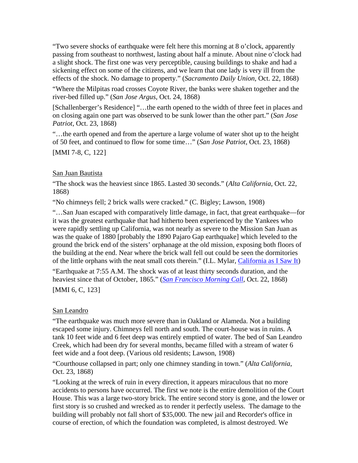"Two severe shocks of earthquake were felt here this morning at 8 o'clock, apparently passing from southeast to northwest, lasting about half a minute. About nine o'clock had a slight shock. The first one was very perceptible, causing buildings to shake and had a sickening effect on some of the citizens, and we learn that one lady is very ill from the effects of the shock. No damage to property." (*Sacramento Daily Union*, Oct. 22, 1868)

"Where the Milpitas road crosses Coyote River, the banks were shaken together and the river-bed filled up." (*San Jose Argus,* Oct. 24, 1868)

[Schallenberger's Residence] "…the earth opened to the width of three feet in places and on closing again one part was observed to be sunk lower than the other part." (*San Jose Patriot*, Oct. 23, 1868)

"…the earth opened and from the aperture a large volume of water shot up to the height of 50 feet, and continued to flow for some time…" (*San Jose Patriot*, Oct. 23, 1868)

[MMI 7-8, C, [122](#page-45-0)]

## San Juan Bautista

"The shock was the heaviest since 1865. Lasted 30 seconds." (*Alta California*, Oct. 22, 1868)

"No chimneys fell; 2 brick walls were cracked." (C. Bigley; Lawson, 1908)

"…San Juan escaped with comparatively little damage, in fact, that great earthquake—for it was the greatest earthquake that had hitherto been experienced by the Yankees who were rapidly settling up California, was not nearly as severe to the Mission San Juan as was the quake of 1880 [probably the 1890 Pajaro Gap earthquake] which leveled to the ground the brick end of the sisters' orphanage at the old mission, exposing both floors of the building at the end. Near where the brick wall fell out could be seen the dormitories of the little orphans with the neat small cots therein." (I.L. Mylar, [California as I Saw It\)](http://lcweb2.loc.gov/ammem/cbhtml/cbhome.html)

"Earthquake at 7:55 A.M. The shock was of at least thirty seconds duration, and the heaviest since that of October, 1865." (*[San Francisco Morning Call](http://www.sfmuseum.net/hist4/68oakl.html)*, Oct. 22, 1868) [MMI 6, C, [123](#page-45-0)]

## San Leandro

"The earthquake was much more severe than in Oakland or Alameda. Not a building escaped some injury. Chimneys fell north and south. The court-house was in ruins. A tank 10 feet wide and 6 feet deep was entirely emptied of water. The bed of San Leandro Creek, which had been dry for several months, became filled with a stream of water 6 feet wide and a foot deep. (Various old residents; Lawson, 1908)

"Courthouse collapsed in part; only one chimney standing in town." (*Alta California*, Oct. 23, 1868)

"Looking at the wreck of ruin in every direction, it appears miraculous that no more accidents to persons have occurred. The first we note is the entire demolition of the Court House. This was a large two-story brick. The entire second story is gone, and the lower or first story is so crushed and wrecked as to render it perfectly useless. The damage to the building will probably not fall short of \$35,000. The new jail and Recorder's office in course of erection, of which the foundation was completed, is almost destroyed. We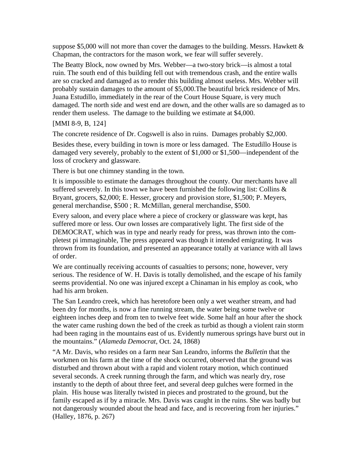suppose \$5,000 will not more than cover the damages to the building. Messes. Hawkett  $\&$ Chapman, the contractors for the mason work, we fear will suffer severely.

The Beatty Block, now owned by Mrs. Webber—a two-story brick—is almost a total ruin. The south end of this building fell out with tremendous crash, and the entire walls are so cracked and damaged as to render this building almost useless. Mrs. Webber will probably sustain damages to the amount of \$5,000.The beautiful brick residence of Mrs. Juana Estudillo, immediately in the rear of the Court House Square, is very much damaged. The north side and west end are down, and the other walls are so damaged as to render them useless. The damage to the building we estimate at \$4,000.

### [MMI 8-9, B, [124](#page-45-0)]

The concrete residence of Dr. Cogswell is also in ruins. Damages probably \$2,000.

Besides these, every building in town is more or less damaged. The Estudillo House is damaged very severely, probably to the extent of \$1,000 or \$1,500—independent of the loss of crockery and glassware.

There is but one chimney standing in the town.

It is impossible to estimate the damages throughout the county. Our merchants have all suffered severely. In this town we have been furnished the following list: Collins  $\&$ Bryant, grocers, \$2,000; E. Hesser, grocery and provision store, \$1,500; P. Meyers, general merchandise, \$500 ; R. McMillan, general merchandise, \$500.

Every saloon, and every place where a piece of crockery or glassware was kept, has suffered more or less. Our own losses are comparatively light. The first side of the DEMOCRAT, which was in type and nearly ready for press, was thrown into the completest pi immaginable, The press appeared was though it intended emigrating. It was thrown from its foundation, and presented an appearance totally at variance with all laws of order.

We are continually receiving accounts of casualties to persons; none, however, very serious. The residence of W. H. Davis is totally demolished, and the escape of his family seems providential. No one was injured except a Chinaman in his employ as cook, who had his arm broken.

The San Leandro creek, which has heretofore been only a wet weather stream, and had been dry for months, is now a fine running stream, the water being some twelve or eighteen inches deep and from ten to twelve feet wide. Some half an hour after the shock the water came rushing down the bed of the creek as turbid as though a violent rain storm had been raging in the mountains east of us. Evidently numerous springs have burst out in the mountains." (*Alameda Democrat*, Oct. 24, 1868)

"A Mr. Davis, who resides on a farm near San Leandro, informs the *Bulletin* that the workmen on his farm at the time of the shock occurred, observed that the ground was disturbed and thrown about with a rapid and violent rotary motion, which continued several seconds. A creek running through the farm, and which was nearly dry, rose instantly to the depth of about three feet, and several deep gulches were formed in the plain. His house was literally twisted in pieces and prostrated to the ground, but the family escaped as if by a miracle. Mrs. Davis was caught in the ruins. She was badly but not dangerously wounded about the head and face, and is recovering from her injuries." (Halley, 1876, p. 267)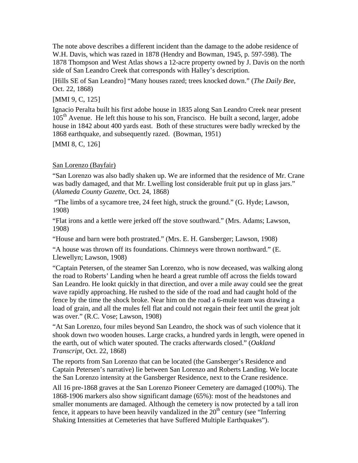The note above describes a different incident than the damage to the adobe residence of W.H. Davis, which was razed in 1878 (Hendry and Bowman, 1945, p. 597-598). The 1878 Thompson and West Atlas shows a 12-acre property owned by J. Davis on the north side of San Leandro Creek that corresponds with Halley's description.

[Hills SE of San Leandro] "Many houses razed; trees knocked down." (*The Daily Bee*, Oct. 22, 1868)

[MMI 9, C, [125](#page-45-0)]

Ignacio Peralta built his first adobe house in 1835 along San Leandro Creek near present  $105<sup>th</sup>$  Avenue. He left this house to his son, Francisco. He built a second, larger, adobe house in 1842 about 400 yards east. Both of these structures were badly wrecked by the 1868 earthquake, and subsequently razed. (Bowman, 1951)

[MMI 8, C, [126](#page-45-0)]

## San Lorenzo (Bayfair)

"San Lorenzo was also badly shaken up. We are informed that the residence of Mr. Crane was badly damaged, and that Mr. Lwelling lost considerable fruit put up in glass jars." (*Alameda County Gazette*, Oct. 24, 1868)

 "The limbs of a sycamore tree, 24 feet high, struck the ground." (G. Hyde; Lawson, 1908)

"Flat irons and a kettle were jerked off the stove southward." (Mrs. Adams; Lawson, 1908)

"House and barn were both prostrated." (Mrs. E. H. Gansberger; Lawson, 1908)

"A house was thrown off its foundations. Chimneys were thrown northward." (E. Llewellyn; Lawson, 1908)

"Captain Petersen, of the steamer San Lorenzo, who is now deceased, was walking along the road to Roberts' Landing when he heard a great rumble off across the fields toward San Leandro. He lookt quickly in that direction, and over a mile away could see the great wave rapidly approaching. He rushed to the side of the road and had caught hold of the fence by the time the shock broke. Near him on the road a 6-mule team was drawing a load of grain, and all the mules fell flat and could not regain their feet until the great jolt was over." (R.C. Vose; Lawson, 1908)

"At San Lorenzo, four miles beyond San Leandro, the shock was of such violence that it shook down two wooden houses. Large cracks, a hundred yards in length, were opened in the earth, out of which water spouted. The cracks afterwards closed." (*Oakland Transcript*, Oct. 22, 1868)

The reports from San Lorenzo that can be located (the Gansberger's Residence and Captain Petersen's narrative) lie between San Lorenzo and Roberts Landing. We locate the San Lorenzo intensity at the Gansberger Residence, next to the Crane residence.

All 16 pre-1868 graves at the San Lorenzo Pioneer Cemetery are damaged (100%). The 1868-1906 markers also show significant damage (65%): most of the headstones and smaller monuments are damaged. Although the cemetery is now protected by a tall iron fence, it appears to have been heavily vandalized in the  $20<sup>th</sup>$  century (see "Inferring") Shaking Intensities at Cemeteries that have Suffered Multiple Earthquakes").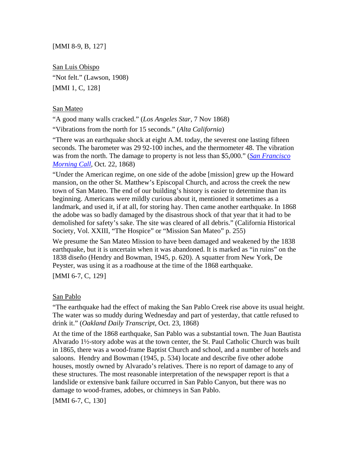[MMI 8-9, B, [127](#page-45-0)]

San Luis Obispo "Not felt." (Lawson, 1908) [MMI 1, C, [128](#page-45-0)]

#### San Mateo

"A good many walls cracked." (*Los Angeles Star*, 7 Nov 1868)

"Vibrations from the north for 15 seconds." (*Alta California*)

"There was an earthquake shock at eight A.M. today, the severest one lasting fifteen seconds. The barometer was 29 92-100 inches, and the thermometer 48. The vibration was from the north. The damage to property is not less than \$5,000." (*[San Francisco](http://www.sfmuseum.net/hist4/68oakl.html)  [Morning Call](http://www.sfmuseum.net/hist4/68oakl.html)*, Oct. 22, 1868)

"Under the American regime, on one side of the adobe [mission] grew up the Howard mansion, on the other St. Matthew's Episcopal Church, and across the creek the new town of San Mateo. The end of our building's history is easier to determine than its beginning. Americans were mildly curious about it, mentioned it sometimes as a landmark, and used it, if at all, for storing hay. Then came another earthquake. In 1868 the adobe was so badly damaged by the disastrous shock of that year that it had to be demolished for safety's sake. The site was cleared of all debris." (California Historical Society, Vol. XXIII, "The Hospice" or "Mission San Mateo" p. 255)

We presume the San Mateo Mission to have been damaged and weakened by the 1838 earthquake, but it is uncertain when it was abandoned. It is marked as "in ruins" on the 1838 diseño (Hendry and Bowman, 1945, p. 620). A squatter from New York, De Peyster, was using it as a roadhouse at the time of the 1868 earthquake.

[MMI 6-7, C, [129](#page-45-0)]

#### San Pablo

"The earthquake had the effect of making the San Pablo Creek rise above its usual height. The water was so muddy during Wednesday and part of yesterday, that cattle refused to drink it." (*Oakland Daily Transcript*, Oct. 23, 1868)

At the time of the 1868 earthquake, San Pablo was a substantial town. The Juan Bautista Alvarado 1½-story adobe was at the town center, the St. Paul Catholic Church was built in 1865, there was a wood-frame Baptist Church and school, and a number of hotels and saloons. Hendry and Bowman (1945, p. 534) locate and describe five other adobe houses, mostly owned by Alvarado's relatives. There is no report of damage to any of these structures. The most reasonable interpretation of the newspaper report is that a landslide or extensive bank failure occurred in San Pablo Canyon, but there was no damage to wood-frames, adobes, or chimneys in San Pablo.

[MMI 6-7, C, [130](#page-45-0)]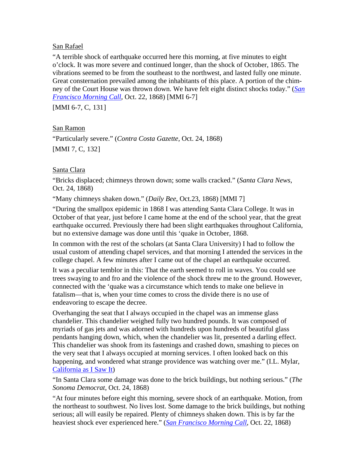### San Rafael

"A terrible shock of earthquake occurred here this morning, at five minutes to eight o'clock. It was more severe and continued longer, than the shock of October, 1865. The vibrations seemed to be from the southeast to the northwest, and lasted fully one minute. Great consternation prevailed among the inhabitants of this place. A portion of the chimney of the Court House was thrown down. We have felt eight distinct shocks today." (*[San](http://www.sfmuseum.net/hist4/68oakl.html)  [Francisco Morning Call](http://www.sfmuseum.net/hist4/68oakl.html)*, Oct. 22, 1868) [MMI 6-7]

[MMI 6-7, C, [131](#page-45-0)]

## San Ramon

"Particularly severe." (*Contra Costa Gazette*, Oct. 24, 1868) [MMI 7, C, [132](#page-45-0)]

## Santa Clara

"Bricks displaced; chimneys thrown down; some walls cracked." (*Santa Clara News*, Oct. 24, 1868)

"Many chimneys shaken down." (*Daily Bee*, Oct.23, 1868) [MMI 7]

"During the smallpox epidemic in 1868 I was attending Santa Clara College. It was in October of that year, just before I came home at the end of the school year, that the great earthquake occurred. Previously there had been slight earthquakes throughout California, but no extensive damage was done until this 'quake in October, 1868.

In common with the rest of the scholars (at Santa Clara University) I had to follow the usual custom of attending chapel services, and that morning I attended the services in the college chapel. A few minutes after I came out of the chapel an earthquake occurred.

It was a peculiar temblor in this: That the earth seemed to roll in waves. You could see trees swaying to and fro and the violence of the shock threw me to the ground. However, connected with the 'quake was a circumstance which tends to make one believe in fatalism—that is, when your time comes to cross the divide there is no use of endeavoring to escape the decree.

Overhanging the seat that I always occupied in the chapel was an immense glass chandelier. This chandelier weighed fully two hundred pounds. It was composed of myriads of gas jets and was adorned with hundreds upon hundreds of beautiful glass pendants hanging down, which, when the chandelier was lit, presented a darling effect. This chandelier was shook from its fastenings and crashed down, smashing to pieces on the very seat that I always occupied at morning services. I often looked back on this happening, and wondered what strange providence was watching over me." (I.L. Mylar, [California as I Saw It\)](http://lcweb2.loc.gov/ammem/cbhtml/cbhome.html)

"In Santa Clara some damage was done to the brick buildings, but nothing serious." (*The Sonoma Democrat*, Oct. 24, 1868)

"At four minutes before eight this morning, severe shock of an earthquake. Motion, from the northeast to southwest. No lives lost. Some damage to the brick buildings, but nothing serious; all will easily be repaired. Plenty of chimneys shaken down. This is by far the heaviest shock ever experienced here." (*[San Francisco Morning Call](http://www.sfmuseum.net/hist4/68oakl.html)*, Oct. 22, 1868)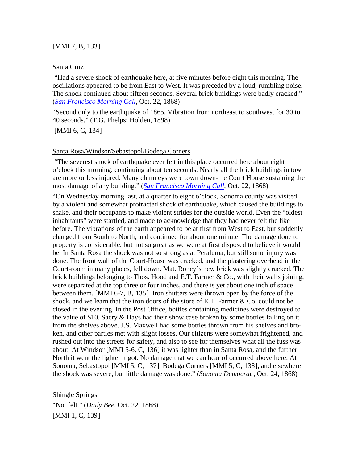#### [MMI 7, B, [133](#page-45-0)]

#### Santa Cruz

 "Had a severe shock of earthquake here, at five minutes before eight this morning. The oscillations appeared to be from East to West. It was preceded by a loud, rumbling noise. The shock continued about fifteen seconds. Several brick buildings were badly cracked." (*[San Francisco Morning Call](http://www.sfmuseum.net/hist4/68oakl.html)*, Oct. 22, 1868)

"Second only to the earthquake of 1865. Vibration from northeast to southwest for 30 to 40 seconds." (T.G. Phelps; Holden, 1898)

[MMI 6, C, [134](#page-45-0)]

#### Santa Rosa/Windsor/Sebastopol/Bodega Corners

 "The severest shock of earthquake ever felt in this place occurred here about eight o'clock this morning, continuing about ten seconds. Nearly all the brick buildings in town are more or less injured. Many chimneys were town down-the Court House sustaining the most damage of any building." (*[San Francisco Morning Call](http://www.sfmuseum.net/hist4/68oakl.html)*, Oct. 22, 1868)

"On Wednesday morning last, at a quarter to eight o'clock, Sonoma county was visited by a violent and somewhat protracted shock of earthquake, which caused the buildings to shake, and their occupants to make violent strides for the outside world. Even the "oldest inhabitants" were startled, and made to acknowledge that they had never felt the like before. The vibrations of the earth appeared to be at first from West to East, but suddenly changed from South to North, and continued for about one minute. The damage done to property is considerable, but not so great as we were at first disposed to believe it would be. In Santa Rosa the shock was not so strong as at Peraluma, but still some injury was done. The front wall of the Court-House was cracked, and the plastering overhead in the Court-room in many places, fell down. Mat. Roney's new brick was slightly cracked. The brick buildings belonging to Thos. Hood and E.T. Farmer & Co., with their walls joining, were separated at the top three or four inches, and there is yet about one inch of space between them. [MMI 6-7, B, [135](#page-45-0)] Iron shutters were thrown open by the force of the shock, and we learn that the iron doors of the store of E.T. Farmer & Co. could not be closed in the evening. In the Post Office, bottles containing medicines were destroyed to the value of \$10. Sacry & Hays had their show case broken by some bottles falling on it from the shelves above. J.S. Maxwell had some bottles thrown from his shelves and broken, and other parties met with slight losses. Our citizens were somewhat frightened, and rushed out into the streets for safety, and also to see for themselves what all the fuss was about. At Windsor [MMI 5-6, C, [136](#page-45-0)] it was lighter than in Santa Rosa, and the further North it went the lighter it got. No damage that we can hear of occurred above here. At Sonoma, Sebastopol [MMI 5, C, [137](#page-45-0)], Bodega Corners [MMI 5, C, [138](#page-45-0)], and elsewhere the shock was severe, but little damage was done." (*Sonoma Democrat* , Oct. 24, 1868)

Shingle Springs "Not felt." (*Daily Bee*, Oct. 22, 1868) [MMI 1, C, [139](#page-45-0)]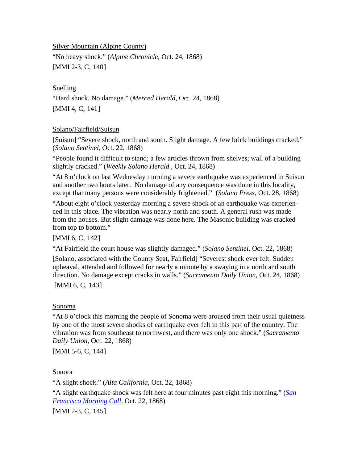Silver Mountain (Alpine County)

"No heavy shock." (*Alpine Chronicle*, Oct. 24, 1868) [MMI 2-3, C, [140](#page-46-0)]

Snelling "Hard shock. No damage." (*Merced Herald*, Oct. 24, 1868) [MMI 4, C, [141](#page-46-0)]

### Solano/Fairfield/Suisun

[Suisun] "Severe shock, north and south. Slight damage. A few brick buildings cracked." (*Solano Sentinel,* Oct. 22, 1868)

"People found it difficult to stand; a few articles thrown from shelves; wall of a building slightly cracked." (*Weekly Solano Herald* , Oct. 24, 1868)

"At 8 o'clock on last Wednesday morning a severe earthquake was experienced in Suisun and another two hours later. No damage of any consequence was done in this locality, except that many persons were considerably frightened." (*Solano Press*, Oct. 28, 1868)

"About eight o'clock yesterday morning a severe shock of an earthquake was experienced in this place. The vibration was nearly north and south. A general rush was made from the houses. But slight damage was done here. The Masonic building was cracked from top to bottom."

## [MMI 6, C, [142](#page-46-0)]

"At Fairfield the court house was slightly damaged." (*Solano Sentinel*, Oct. 22, 1868)

[Solano, associated with the County Seat, Fairfield] "Severest shock ever felt. Sudden upheaval, attended and followed for nearly a minute by a swaying in a north and south direction. No damage except cracks in walls." (*Sacramento Daily Union*, Oct. 24, 1868)

[MMI 6, C, [143](#page-46-0)]

#### Sonoma

"At 8 o'clock this morning the people of Sonoma were aroused from their usual quietness by one of the most severe shocks of earthquake ever felt in this part of the country. The vibration was from southeast to northwest, and there was only one shock." (*Sacramento Daily Union*, Oct. 22, 1868)

[MMI 5-6, C, [144](#page-46-0)]

Sonora

"A slight shock." (*Alta California*, Oct. 22, 1868)

"A slight earthquake shock was felt here at four minutes past eight this morning." (*[San](http://www.sfmuseum.net/hist4/68oakl.html)  [Francisco Morning Call](http://www.sfmuseum.net/hist4/68oakl.html)*, Oct. 22, 1868)

[MMI 2-3, C, [145](#page-46-0)]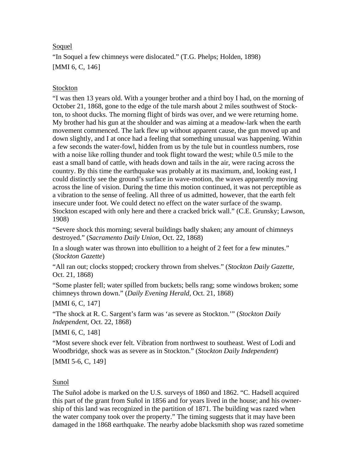## Soquel

"In Soquel a few chimneys were dislocated." (T.G. Phelps; Holden, 1898) [MMI 6, C, [146](#page-46-0)]

## Stockton

"I was then 13 years old. With a younger brother and a third boy I had, on the morning of October 21, 1868, gone to the edge of the tule marsh about 2 miles southwest of Stockton, to shoot ducks. The morning flight of birds was over, and we were returning home. My brother had his gun at the shoulder and was aiming at a meadow-lark when the earth movement commenced. The lark flew up without apparent cause, the gun moved up and down slightly, and I at once had a feeling that something unusual was happening. Within a few seconds the water-fowl, hidden from us by the tule but in countless numbers, rose with a noise like rolling thunder and took flight toward the west; while 0.5 mile to the east a small band of cattle, with heads down and tails in the air, were racing across the country. By this time the earthquake was probably at its maximum, and, looking east, I could distinctly see the ground's surface in wave-motion, the waves apparently moving across the line of vision. During the time this motion continued, it was not perceptible as a vibration to the sense of feeling. All three of us admitted, however, that the earth felt insecure under foot. We could detect no effect on the water surface of the swamp. Stockton escaped with only here and there a cracked brick wall." (C.E. Grunsky; Lawson, 1908)

"Severe shock this morning; several buildings badly shaken; any amount of chimneys destroyed." (*Sacramento Daily Union*, Oct. 22, 1868)

In a slough water was thrown into ebullition to a height of 2 feet for a few minutes." (*Stockton Gazette*)

"All ran out; clocks stopped; crockery thrown from shelves." (*Stockton Daily Gazette*, Oct. 21, 1868)

"Some plaster fell; water spilled from buckets; bells rang; some windows broken; some chimneys thrown down." (*Daily Evening Herald*, Oct. 21, 1868)

## [MMI 6, C, [147](#page-46-0)]

"The shock at R. C. Sargent's farm was 'as severe as Stockton.'" (*Stockton Daily Independent*, Oct. 22, 1868)

[MMI 6, C, [148](#page-46-0)]

"Most severe shock ever felt. Vibration from northwest to southeast. West of Lodi and Woodbridge, shock was as severe as in Stockton." (*Stockton Daily Independent*)

[MMI 5-6, C, [149](#page-46-0)]

## Sunol

The Suñol adobe is marked on the U.S. surveys of 1860 and 1862. "C. Hadsell acquired this part of the grant from Suñol in 1856 and for years lived in the house; and his ownership of this land was recognized in the partition of 1871. The building was razed when the water company took over the property." The timing suggests that it may have been damaged in the 1868 earthquake. The nearby adobe blacksmith shop was razed sometime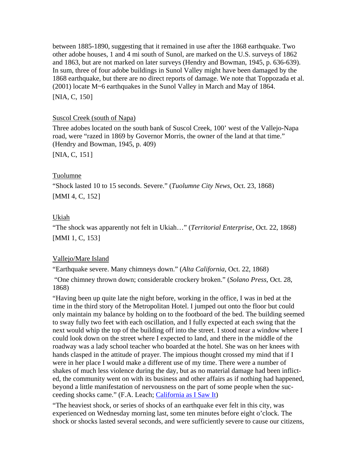between 1885-1890, suggesting that it remained in use after the 1868 earthquake. Two other adobe houses, 1 and 4 mi south of Sunol, are marked on the U.S. surveys of 1862 and 1863, but are not marked on later surveys (Hendry and Bowman, 1945, p. 636-639). In sum, three of four adobe buildings in Sunol Valley might have been damaged by the 1868 earthquake, but there are no direct reports of damage. We note that Toppozada et al. (2001) locate M~6 earthquakes in the Sunol Valley in March and May of 1864. [NIA, C, [150](#page-46-0)]

### Suscol Creek (south of Napa)

Three adobes located on the south bank of Suscol Creek, 100' west of the Vallejo-Napa road, were "razed in 1869 by Governor Morris, the owner of the land at that time." (Hendry and Bowman, 1945, p. 409)

[NIA, C, [151](#page-46-0)]

### Tuolumne

"Shock lasted 10 to 15 seconds. Severe." (*Tuolumne City News*, Oct. 23, 1868) [MMI 4, C, [152](#page-46-0)]

## Ukiah

"The shock was apparently not felt in Ukiah…" (*Territorial Enterprise*, Oct. 22, 1868) [MMI 1, C, [153](#page-46-0)]

## Vallejo/Mare Island

"Earthquake severe. Many chimneys down." (*Alta California*, Oct. 22, 1868)

 "One chimney thrown down; considerable crockery broken." (*Solano Press*, Oct. 28, 1868)

"Having been up quite late the night before, working in the office, I was in bed at the time in the third story of the Metropolitan Hotel. I jumped out onto the floor but could only maintain my balance by holding on to the footboard of the bed. The building seemed to sway fully two feet with each oscillation, and I fully expected at each swing that the next would whip the top of the building off into the street. I stood near a window where I could look down on the street where I expected to land, and there in the middle of the roadway was a lady school teacher who boarded at the hotel. She was on her knees with hands clasped in the attitude of prayer. The impious thought crossed my mind that if I were in her place I would make a different use of my time. There were a number of shakes of much less violence during the day, but as no material damage had been inflicted, the community went on with its business and other affairs as if nothing had happened, beyond a little manifestation of nervousness on the part of some people when the succeeding shocks came." (F.A. Leach; [California as I Saw It](http://lcweb2.loc.gov/ammem/cbhtml/cbhome.html))

"The heaviest shock, or series of shocks of an earthquake ever felt in this city, was experienced on Wednesday morning last, some ten minutes before eight o'clock. The shock or shocks lasted several seconds, and were sufficiently severe to cause our citizens,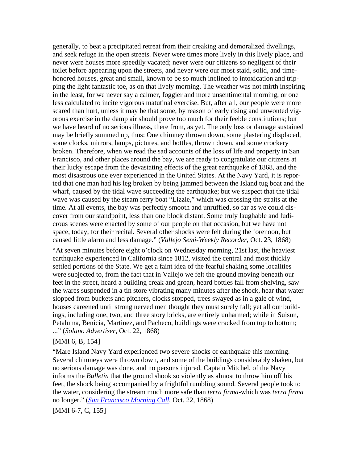generally, to beat a precipitated retreat from their creaking and demoralized dwellings, and seek refuge in the open streets. Never were times more lively in this lively place, and never were houses more speedily vacated; never were our citizens so negligent of their toilet before appearing upon the streets, and never were our most staid, solid, and timehonored houses, great and small, known to be so much inclined to intoxication and tripping the light fantastic toe, as on that lively morning. The weather was not mirth inspiring in the least, for we never say a calmer, foggier and more unsentimental morning, or one less calculated to incite vigorous matutinal exercise. But, after all, our people were more scared than hurt, unless it may be that some, by reason of early rising and unwonted vigorous exercise in the damp air should prove too much for their feeble constitutions; but we have heard of no serious illness, there from, as yet. The only loss or damage sustained may be briefly summed up, thus: One chimney thrown down, some plastering displaced, some clocks, mirrors, lamps, pictures, and bottles, thrown down, and some crockery broken. Therefore, when we read the sad accounts of the loss of life and property in San Francisco, and other places around the bay, we are ready to congratulate our citizens at their lucky escape from the devastating effects of the great earthquake of 1868, and the most disastrous one ever experienced in the United States. At the Navy Yard, it is reported that one man had his leg broken by being jammed between the Island tug boat and the wharf, caused by the tidal wave succeeding the earthquake; but we suspect that the tidal wave was caused by the steam ferry boat "Lizzie," which was crossing the straits at the time. At all events, the bay was perfectly smooth and unruffled, so far as we could discover from our standpoint, less than one block distant. Some truly laughable and ludicrous scenes were enacted by some of our people on that occasion, but we have not space, today, for their recital. Several other shocks were felt during the forenoon, but caused little alarm and less damage." (*Vallejo Semi-Weekly Recorder*, Oct. 23, 1868)

"At seven minutes before eight o'clock on Wednesday morning, 21st last, the heaviest earthquake experienced in California since 1812, visited the central and most thickly settled portions of the State. We get a faint idea of the fearful shaking some localities were subjected to, from the fact that in Vallejo we felt the ground moving beneath our feet in the street, heard a building creak and groan, heard bottles fall from shelving, saw the wares suspended in a tin store vibrating many minutes after the shock, hear that water slopped from buckets and pitchers, clocks stopped, trees swayed as in a gale of wind, houses careened until strong nerved men thought they must surely fall; yet all our buildings, including one, two, and three story bricks, are entirely unharmed; while in Suisun, Petaluma, Benicia, Martinez, and Pacheco, buildings were cracked from top to bottom; ..." (*Solano Advertiser*, Oct. 22, 1868)

#### [MMI 6, B, [154](#page-46-0)]

"Mare Island Navy Yard experienced two severe shocks of earthquake this morning. Several chimneys were thrown down, and some of the buildings considerably shaken, but no serious damage was done, and no persons injured. Captain Mitchel, of the Navy informs the *Bulletin* that the ground shook so violently as almost to throw him off his feet, the shock being accompanied by a frightful rumbling sound. Several people took to the water, considering the stream much more safe than *terra firma*-which was *terra firma* no longer." (*[San Francisco Morning Call](http://www.sfmuseum.net/hist4/68oakl.html)*, Oct. 22, 1868)

[MMI 6-7, C, [155](#page-46-0)]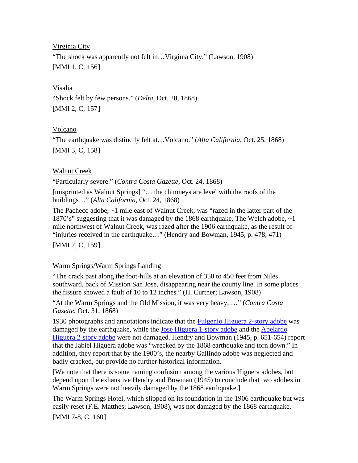Virginia City

"The shock was apparently not felt in…Virginia City." (Lawson, 1908) [MMI 1, C, [156](#page-46-0)]

### Visalia

"Shock felt by few persons." (*Delta*, Oct. 28, 1868) [MMI 2, C, [157](#page-46-0)]

## Volcano

"The earthquake was distinctly felt at…Volcano." (*Alta California*, Oct. 25, 1868) [MMI 3, C, [158](#page-46-0)]

## Walnut Creek

"Particularly severe." (*Contra Costa Gazette*, Oct. 24, 1868)

[misprinted as Walnut Springs] "… the chimneys are level with the roofs of the buildings…" (*Alta California*, Oct. 24, 1868)

The Pacheco adobe, ~1 mile east of Walnut Creek, was "razed in the latter part of the 1870's" suggesting that it was damaged by the 1868 earthquake. The Welch adobe, ~1 mile northwest of Walnut Creek, was razed after the 1906 earthquake, as the result of "injuries received in the earthquake…" (Hendry and Bowman, 1945, p. 478, 471)

[MMI 7, C, [159](#page-46-0)]

## Warm Springs/Warm Springs Landing

"The crack past along the foot-hills at an elevation of 350 to 450 feet from Niles southward, back of Mission San Jose, disappearing near the county line. In some places the fissure showed a fault of 10 to 12 inches." (H. Curtner; Lawson, 1908)

"At the Warm Springs and the Old Mission, it was very heavy; …" (*Contra Costa Gazette*, Oct. 31, 1868)

1930 photographs and annotations indicate that the [Fulgenio Higuera 2-story adobe](http://memory.loc.gov/cgi-bin/displayPhoto.pl?path=/pnp/habshaer/ca/ca0000/ca0004/photos&topImages=011010pr.jpg&topLinks=011010pv.jpg,011010pu.tif&title=2.%20%20Historic%20American%20Buildings%20Survey%20Willis%20Foster,%20Photographer%20Photo%20T) was damaged by the earthquake, while the [Jose Higuera 1-story adobe](http://content.cdlib.org/ark:/13030/kt6q2nd4xc/?layout=metadata&brand=oac) and the Abelardo [Higuera 2-story adobe](http://memory.loc.gov/cgi-bin/displayPhoto.pl?path=/pnp/habshaer/ca/ca0000/ca0003/photos&topImages=011012pr.jpg&topLinks=011012pv.jpg,011012pu.tif&title=1.%2520%2520Historic%2520American%2520Buildings%2520Survey%2520Willis%2520Foster,%2520Photographer%2520Northern%25) were not damaged. Hendry and Bowman (1945, p. 651-654) report that the Jabiel Higuera adobe was "wrecked by the 1868 earthquake and torn down." In addition, they report that by the 1900's, the nearby Gallindo adobe was neglected and badly cracked, but provide no further historical information.

[We note that there is some naming confusion among the various Higuera adobes, but depend upon the exhaustive Hendry and Bowman (1945) to conclude that two adobes in Warm Springs were not heavily damaged by the 1868 earthquake.]

The Warm Springs Hotel, which slipped on its foundation in the 1906 earthquake but was easily reset (F.E. Matthes; Lawson, 1908), was not damaged by the 1868 earthquake. [MMI 7-8, C, [160](#page-46-0)]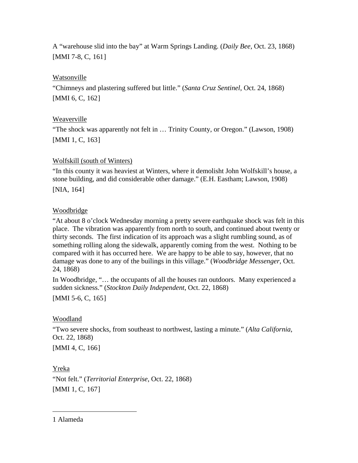A "warehouse slid into the bay" at Warm Springs Landing. (*Daily Bee*, Oct. 23, 1868) [MMI 7-8, C, [161](#page-46-0)]

## Watsonville

"Chimneys and plastering suffered but little." (*Santa Cruz Sentinel*, Oct. 24, 1868) [MMI 6, C, [162](#page-46-1)]

# Weaverville

"The shock was apparently not felt in … Trinity County, or Oregon." (Lawson, 1908) [MMI 1, C, [163](#page-46-2)]

## Wolfskill (south of Winters)

"In this county it was heaviest at Winters, where it demolisht John Wolfskill's house, a stone building, and did considerable other damage." (E.H. Eastham; Lawson, 1908)

[NIA, [164](#page-46-3)]

# Woodbridge

"At about 8 o'clock Wednesday morning a pretty severe earthquake shock was felt in this place. The vibration was apparently from north to south, and continued about twenty or thirty seconds. The first indication of its approach was a slight rumbling sound, as of something rolling along the sidewalk, apparently coming from the west. Nothing to be compared with it has occurred here. We are happy to be able to say, however, that no damage was done to any of the builings in this village." (*Woodbridge Messenger*, Oct. 24, 1868)

In Woodbridge, "… the occupants of all the houses ran outdoors. Many experienced a sudden sickness." (*Stockton Daily Independent*, Oct. 22, 1868)

[MMI 5-6, C, [165](#page-46-4)]

# Woodland

"Two severe shocks, from southeast to northwest, lasting a minute." (*Alta California*, Oct. 22, 1868)

[MMI 4, C, [166](#page-46-5)]

Yreka

 $\overline{a}$ 

"Not felt." (*Territorial Enterprise*, Oct. 22, 1868) [MMI 1, C, [167](#page-46-6)]

<span id="page-42-0"></span>1 Alameda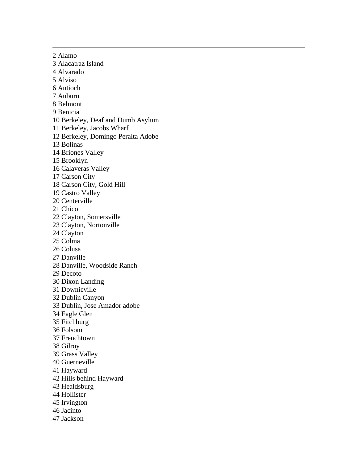<span id="page-43-0"></span>2 Alamo 3 Alacatraz Island 4 Alvarado 5 Alviso 6 Antioch 7 Auburn 8 Belmont 9 Benicia 10 Berkeley, Deaf and Dumb Asylum 11 Berkeley, Jacobs Wharf 12 Berkeley, Domingo Peralta Adobe 13 Bolinas 14 Briones Valley 15 Brooklyn 16 Calaveras Valley 17 Carson City 18 Carson City, Gold Hill 19 Castro Valley 20 Centerville 21 Chico 22 Clayton, Somersville 23 Clayton, Nortonville 24 Clayton 25 Colma 26 Colusa 27 Danville 28 Danville, Woodside Ranch 29 Decoto 30 Dixon Landing 31 Downieville 32 Dublin Canyon 33 Dublin, Jose Amador adobe 34 Eagle Glen 35 Fitchburg 36 Folsom 37 Frenchtown 38 Gilroy 39 Grass Valley 40 Guerneville 41 Hayward 42 Hills behind Hayward 43 Healdsburg 44 Hollister 45 Irvington 46 Jacinto 47 Jackson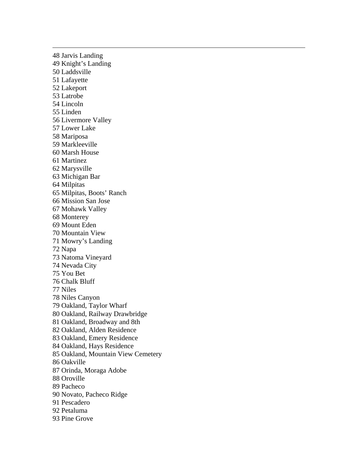<span id="page-44-0"></span>48 Jarvis Landing 49 Knight's Landing 50 Laddsville 51 Lafayette 52 Lakeport 53 Latrobe 54 Lincoln 55 Linden 56 Livermore Valley 57 Lower Lake 58 Mariposa 59 Markleeville 60 Marsh House 61 Martinez 62 Marysville 63 Michigan Bar 64 Milpitas 65 Milpitas, Boots' Ranch 66 Mission San Jose 67 Mohawk Valley 68 Monterey 69 Mount Eden 70 Mountain View 71 Mowry's Landing 72 Napa 73 Natoma Vineyard 74 Nevada City 75 You Bet 76 Chalk Bluff 77 Niles 78 Niles Canyon 79 Oakland, Taylor Wharf 80 Oakland, Railway Drawbridge 81 Oakland, Broadway and 8th 82 Oakland, Alden Residence 83 Oakland, Emery Residence 84 Oakland, Hays Residence 85 Oakland, Mountain View Cemetery 86 Oakville 87 Orinda, Moraga Adobe 88 Oroville 89 Pacheco 90 Novato, Pacheco Ridge 91 Pescadero 92 Petaluma 93 Pine Grove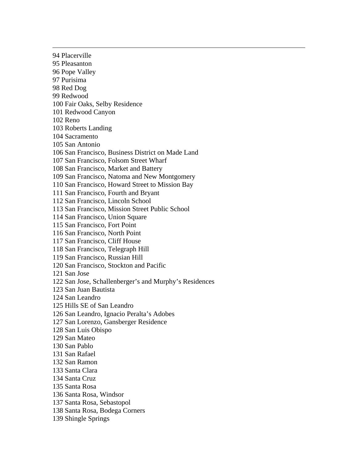<span id="page-45-0"></span>94 Placerville 95 Pleasanton 96 Pope Valley 97 Purisima 98 Red Dog 99 Redwood 100 Fair Oaks, Selby Residence 101 Redwood Canyon 102 Reno 103 Roberts Landing 104 Sacramento 105 San Antonio 106 San Francisco, Business District on Made Land 107 San Francisco, Folsom Street Wharf 108 San Francisco, Market and Battery 109 San Francisco, Natoma and New Montgomery 110 San Francisco, Howard Street to Mission Bay 111 San Francisco, Fourth and Bryant 112 San Francisco, Lincoln School 113 San Francisco, Mission Street Public School 114 San Francisco, Union Square 115 San Francisco, Fort Point 116 San Francisco, North Point 117 San Francisco, Cliff House 118 San Francisco, Telegraph Hill 119 San Francisco, Russian Hill 120 San Francisco, Stockton and Pacific 121 San Jose 122 San Jose, Schallenberger's and Murphy's Residences 123 San Juan Bautista 124 San Leandro 125 Hills SE of San Leandro 126 San Leandro, Ignacio Peralta's Adobes 127 San Lorenzo, Gansberger Residence 128 San Luis Obispo 129 San Mateo 130 San Pablo 131 San Rafael 132 San Ramon 133 Santa Clara 134 Santa Cruz 135 Santa Rosa 136 Santa Rosa, Windsor 137 Santa Rosa, Sebastopol 138 Santa Rosa, Bodega Corners 139 Shingle Springs